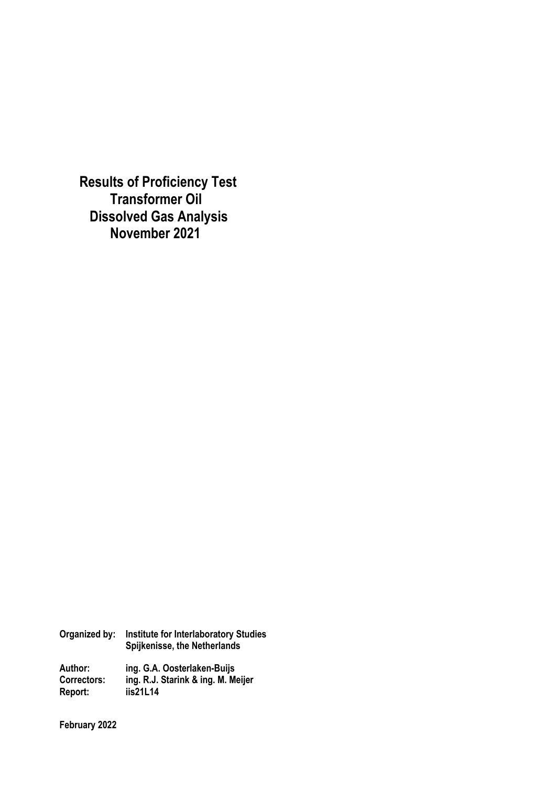**Results of Proficiency Test Transformer Oil Dissolved Gas Analysis November 2021** 

**Organized by: Institute for Interlaboratory Studies Spijkenisse, the Netherlands** 

**Author: ing. G.A. Oosterlaken-Buijs Correctors: ing. R.J. Starink & ing. M. Meijer Report: iis21L14** 

**February 2022**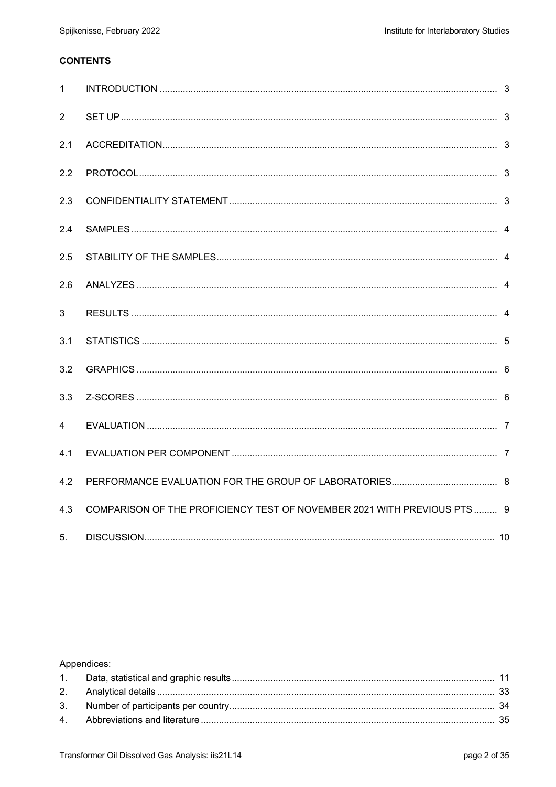## **CONTENTS**

| $\mathbf{1}$   |                                                                          |  |
|----------------|--------------------------------------------------------------------------|--|
| 2              |                                                                          |  |
| 2.1            |                                                                          |  |
| 2.2            |                                                                          |  |
| 2.3            |                                                                          |  |
| 2.4            |                                                                          |  |
| 2.5            |                                                                          |  |
| 2.6            |                                                                          |  |
| 3              |                                                                          |  |
| 3.1            |                                                                          |  |
| 3.2            |                                                                          |  |
| 3.3            |                                                                          |  |
| $\overline{4}$ |                                                                          |  |
| 4.1            |                                                                          |  |
| 4.2            |                                                                          |  |
| 4.3            | COMPARISON OF THE PROFICIENCY TEST OF NOVEMBER 2021 WITH PREVIOUS PTS  9 |  |
| 5.             |                                                                          |  |

# Appendices: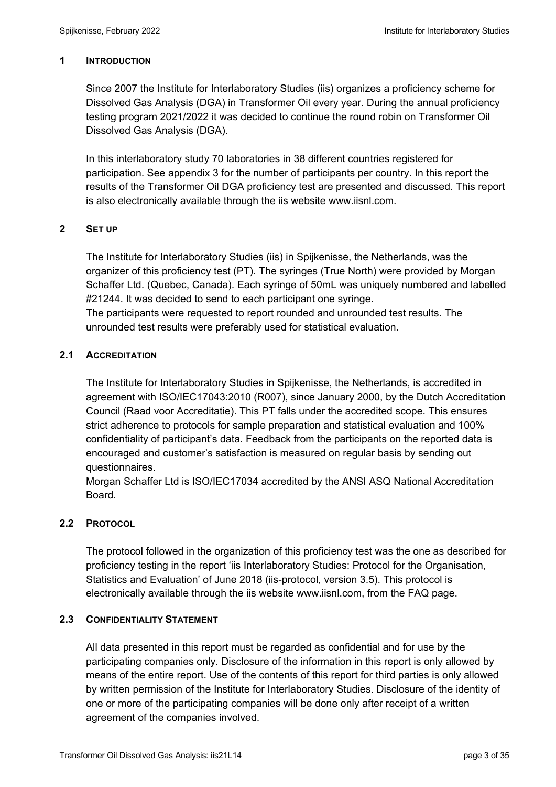## **1 INTRODUCTION**

Since 2007 the Institute for Interlaboratory Studies (iis) organizes a proficiency scheme for Dissolved Gas Analysis (DGA) in Transformer Oil every year. During the annual proficiency testing program 2021/2022 it was decided to continue the round robin on Transformer Oil Dissolved Gas Analysis (DGA).

In this interlaboratory study 70 laboratories in 38 different countries registered for participation. See appendix 3 for the number of participants per country. In this report the results of the Transformer Oil DGA proficiency test are presented and discussed. This report is also electronically available through the iis website www.iisnl.com.

## **2 SET UP**

The Institute for Interlaboratory Studies (iis) in Spijkenisse, the Netherlands, was the organizer of this proficiency test (PT). The syringes (True North) were provided by Morgan Schaffer Ltd. (Quebec, Canada). Each syringe of 50mL was uniquely numbered and labelled #21244. It was decided to send to each participant one syringe. The participants were requested to report rounded and unrounded test results. The unrounded test results were preferably used for statistical evaluation.

## **2.1 ACCREDITATION**

The Institute for Interlaboratory Studies in Spijkenisse, the Netherlands, is accredited in agreement with ISO/IEC17043:2010 (R007), since January 2000, by the Dutch Accreditation Council (Raad voor Accreditatie). This PT falls under the accredited scope. This ensures strict adherence to protocols for sample preparation and statistical evaluation and 100% confidentiality of participant's data. Feedback from the participants on the reported data is encouraged and customer's satisfaction is measured on regular basis by sending out questionnaires.

Morgan Schaffer Ltd is ISO/IEC17034 accredited by the ANSI ASQ National Accreditation Board.

### **2.2 PROTOCOL**

The protocol followed in the organization of this proficiency test was the one as described for proficiency testing in the report 'iis Interlaboratory Studies: Protocol for the Organisation, Statistics and Evaluation' of June 2018 (iis-protocol, version 3.5). This protocol is electronically available through the iis website www.iisnl.com, from the FAQ page.

### **2.3 CONFIDENTIALITY STATEMENT**

All data presented in this report must be regarded as confidential and for use by the participating companies only. Disclosure of the information in this report is only allowed by means of the entire report. Use of the contents of this report for third parties is only allowed by written permission of the Institute for Interlaboratory Studies. Disclosure of the identity of one or more of the participating companies will be done only after receipt of a written agreement of the companies involved.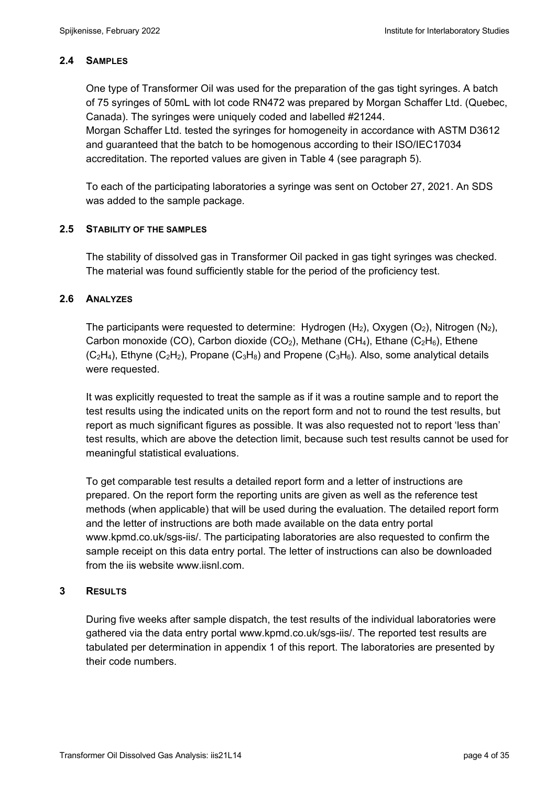## **2.4 SAMPLES**

One type of Transformer Oil was used for the preparation of the gas tight syringes. A batch of 75 syringes of 50mL with lot code RN472 was prepared by Morgan Schaffer Ltd. (Quebec, Canada). The syringes were uniquely coded and labelled #21244. Morgan Schaffer Ltd. tested the syringes for homogeneity in accordance with ASTM D3612 and guaranteed that the batch to be homogenous according to their ISO/IEC17034

accreditation. The reported values are given in Table 4 (see paragraph 5).

To each of the participating laboratories a syringe was sent on October 27, 2021. An SDS was added to the sample package.

### **2.5 STABILITY OF THE SAMPLES**

The stability of dissolved gas in Transformer Oil packed in gas tight syringes was checked. The material was found sufficiently stable for the period of the proficiency test.

### **2.6 ANALYZES**

The participants were requested to determine: Hydrogen  $(H_2)$ , Oxygen  $(O_2)$ , Nitrogen  $(N_2)$ , Carbon monoxide (CO), Carbon dioxide (CO<sub>2</sub>), Methane (CH<sub>4</sub>), Ethane (C<sub>2</sub>H<sub>6</sub>), Ethene  $(C_2H_4)$ , Ethyne  $(C_2H_2)$ , Propane  $(C_3H_8)$  and Propene  $(C_3H_6)$ . Also, some analytical details were requested.

It was explicitly requested to treat the sample as if it was a routine sample and to report the test results using the indicated units on the report form and not to round the test results, but report as much significant figures as possible. It was also requested not to report 'less than' test results, which are above the detection limit, because such test results cannot be used for meaningful statistical evaluations.

To get comparable test results a detailed report form and a letter of instructions are prepared. On the report form the reporting units are given as well as the reference test methods (when applicable) that will be used during the evaluation. The detailed report form and the letter of instructions are both made available on the data entry portal www.kpmd.co.uk/sgs-iis/. The participating laboratories are also requested to confirm the sample receipt on this data entry portal. The letter of instructions can also be downloaded from the iis website www.iisnl.com.

### **3 RESULTS**

During five weeks after sample dispatch, the test results of the individual laboratories were gathered via the data entry portal www.kpmd.co.uk/sgs-iis/. The reported test results are tabulated per determination in appendix 1 of this report. The laboratories are presented by their code numbers.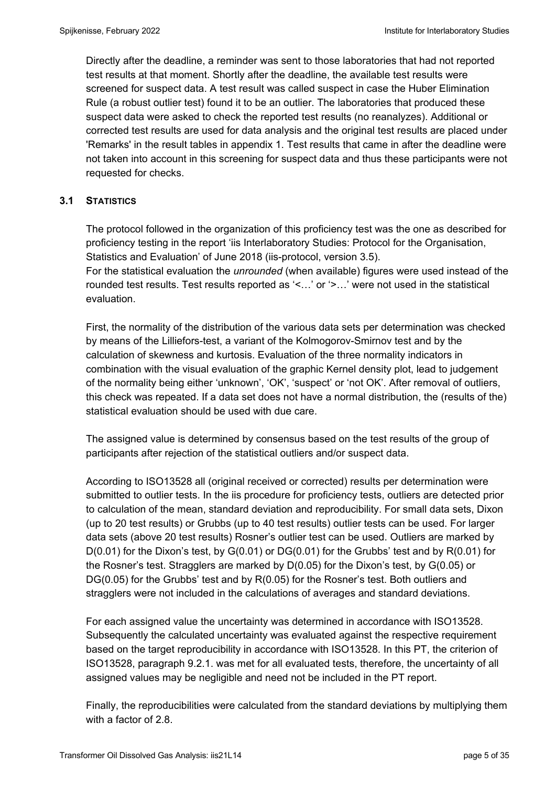Directly after the deadline, a reminder was sent to those laboratories that had not reported test results at that moment. Shortly after the deadline, the available test results were screened for suspect data. A test result was called suspect in case the Huber Elimination Rule (a robust outlier test) found it to be an outlier. The laboratories that produced these suspect data were asked to check the reported test results (no reanalyzes). Additional or corrected test results are used for data analysis and the original test results are placed under 'Remarks' in the result tables in appendix 1. Test results that came in after the deadline were not taken into account in this screening for suspect data and thus these participants were not requested for checks.

## **3.1 STATISTICS**

The protocol followed in the organization of this proficiency test was the one as described for proficiency testing in the report 'iis Interlaboratory Studies: Protocol for the Organisation, Statistics and Evaluation' of June 2018 (iis-protocol, version 3.5).

For the statistical evaluation the *unrounded* (when available) figures were used instead of the rounded test results. Test results reported as '<…' or '>…' were not used in the statistical evaluation.

First, the normality of the distribution of the various data sets per determination was checked by means of the Lilliefors-test, a variant of the Kolmogorov-Smirnov test and by the calculation of skewness and kurtosis. Evaluation of the three normality indicators in combination with the visual evaluation of the graphic Kernel density plot, lead to judgement of the normality being either 'unknown', 'OK', 'suspect' or 'not OK'. After removal of outliers, this check was repeated. If a data set does not have a normal distribution, the (results of the) statistical evaluation should be used with due care.

The assigned value is determined by consensus based on the test results of the group of participants after rejection of the statistical outliers and/or suspect data.

According to ISO13528 all (original received or corrected) results per determination were submitted to outlier tests. In the iis procedure for proficiency tests, outliers are detected prior to calculation of the mean, standard deviation and reproducibility. For small data sets, Dixon (up to 20 test results) or Grubbs (up to 40 test results) outlier tests can be used. For larger data sets (above 20 test results) Rosner's outlier test can be used. Outliers are marked by D(0.01) for the Dixon's test, by G(0.01) or DG(0.01) for the Grubbs' test and by R(0.01) for the Rosner's test. Stragglers are marked by D(0.05) for the Dixon's test, by G(0.05) or DG(0.05) for the Grubbs' test and by R(0.05) for the Rosner's test. Both outliers and stragglers were not included in the calculations of averages and standard deviations.

For each assigned value the uncertainty was determined in accordance with ISO13528. Subsequently the calculated uncertainty was evaluated against the respective requirement based on the target reproducibility in accordance with ISO13528. In this PT, the criterion of ISO13528, paragraph 9.2.1. was met for all evaluated tests, therefore, the uncertainty of all assigned values may be negligible and need not be included in the PT report.

Finally, the reproducibilities were calculated from the standard deviations by multiplying them with a factor of 2.8.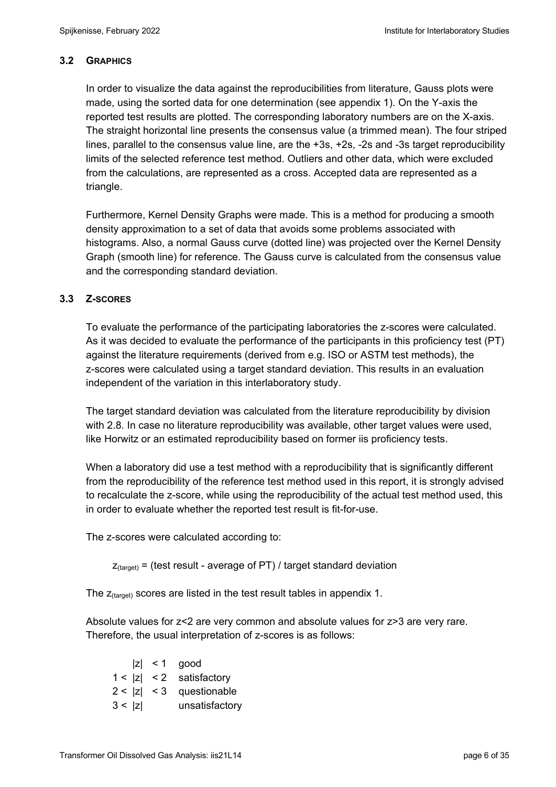## **3.2 GRAPHICS**

In order to visualize the data against the reproducibilities from literature, Gauss plots were made, using the sorted data for one determination (see appendix 1). On the Y-axis the reported test results are plotted. The corresponding laboratory numbers are on the X-axis. The straight horizontal line presents the consensus value (a trimmed mean). The four striped lines, parallel to the consensus value line, are the +3s, +2s, -2s and -3s target reproducibility limits of the selected reference test method. Outliers and other data, which were excluded from the calculations, are represented as a cross. Accepted data are represented as a triangle.

Furthermore, Kernel Density Graphs were made. This is a method for producing a smooth density approximation to a set of data that avoids some problems associated with histograms. Also, a normal Gauss curve (dotted line) was projected over the Kernel Density Graph (smooth line) for reference. The Gauss curve is calculated from the consensus value and the corresponding standard deviation.

## **3.3 Z-SCORES**

To evaluate the performance of the participating laboratories the z-scores were calculated. As it was decided to evaluate the performance of the participants in this proficiency test (PT) against the literature requirements (derived from e.g. ISO or ASTM test methods), the z-scores were calculated using a target standard deviation. This results in an evaluation independent of the variation in this interlaboratory study.

The target standard deviation was calculated from the literature reproducibility by division with 2.8. In case no literature reproducibility was available, other target values were used, like Horwitz or an estimated reproducibility based on former iis proficiency tests.

When a laboratory did use a test method with a reproducibility that is significantly different from the reproducibility of the reference test method used in this report, it is strongly advised to recalculate the z-score, while using the reproducibility of the actual test method used, this in order to evaluate whether the reported test result is fit-for-use.

The z-scores were calculated according to:

 $Z_{\text{target}}$  = (test result - average of PT) / target standard deviation

The  $z_{\text{(target)}}$  scores are listed in the test result tables in appendix 1.

Absolute values for z<2 are very common and absolute values for z>3 are very rare. Therefore, the usual interpretation of z-scores is as follows:

|        | $ z  < 1$ good             |
|--------|----------------------------|
|        | $1 <  z  < 2$ satisfactory |
|        | $2 <  z  < 3$ questionable |
| 3 <  z | unsatisfactory             |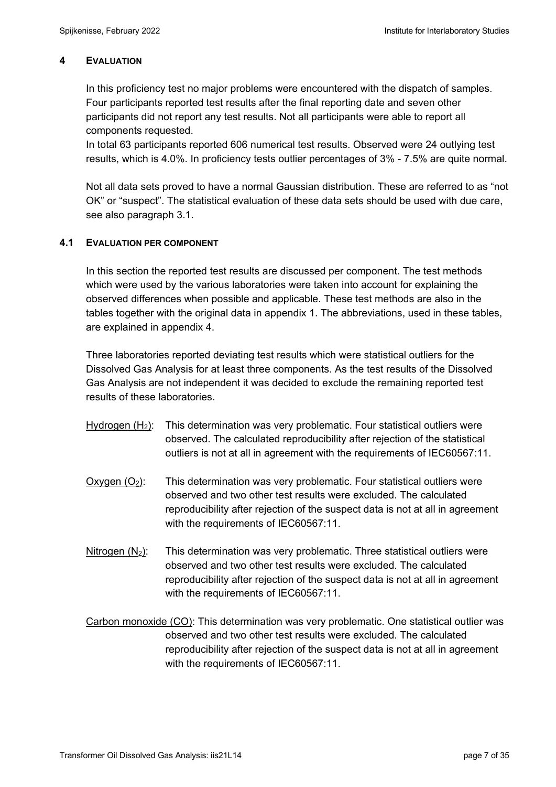## **4 EVALUATION**

In this proficiency test no major problems were encountered with the dispatch of samples. Four participants reported test results after the final reporting date and seven other participants did not report any test results. Not all participants were able to report all components requested.

In total 63 participants reported 606 numerical test results. Observed were 24 outlying test results, which is 4.0%. In proficiency tests outlier percentages of 3% - 7.5% are quite normal.

Not all data sets proved to have a normal Gaussian distribution. These are referred to as "not OK" or "suspect". The statistical evaluation of these data sets should be used with due care, see also paragraph 3.1.

## **4.1 EVALUATION PER COMPONENT**

In this section the reported test results are discussed per component. The test methods which were used by the various laboratories were taken into account for explaining the observed differences when possible and applicable. These test methods are also in the tables together with the original data in appendix 1. The abbreviations, used in these tables, are explained in appendix 4.

Three laboratories reported deviating test results which were statistical outliers for the Dissolved Gas Analysis for at least three components. As the test results of the Dissolved Gas Analysis are not independent it was decided to exclude the remaining reported test results of these laboratories.

- Hydrogen  $(H<sub>2</sub>)$ : This determination was very problematic. Four statistical outliers were observed. The calculated reproducibility after rejection of the statistical outliers is not at all in agreement with the requirements of IEC60567:11.
- $Oxygen (O<sub>2</sub>):$  This determination was very problematic. Four statistical outliers were observed and two other test results were excluded. The calculated reproducibility after rejection of the suspect data is not at all in agreement with the requirements of IEC60567:11.
- Nitrogen  $(N_2)$ : This determination was very problematic. Three statistical outliers were observed and two other test results were excluded. The calculated reproducibility after rejection of the suspect data is not at all in agreement with the requirements of IEC60567:11.

Carbon monoxide (CO): This determination was very problematic. One statistical outlier was observed and two other test results were excluded. The calculated reproducibility after rejection of the suspect data is not at all in agreement with the requirements of IEC60567:11.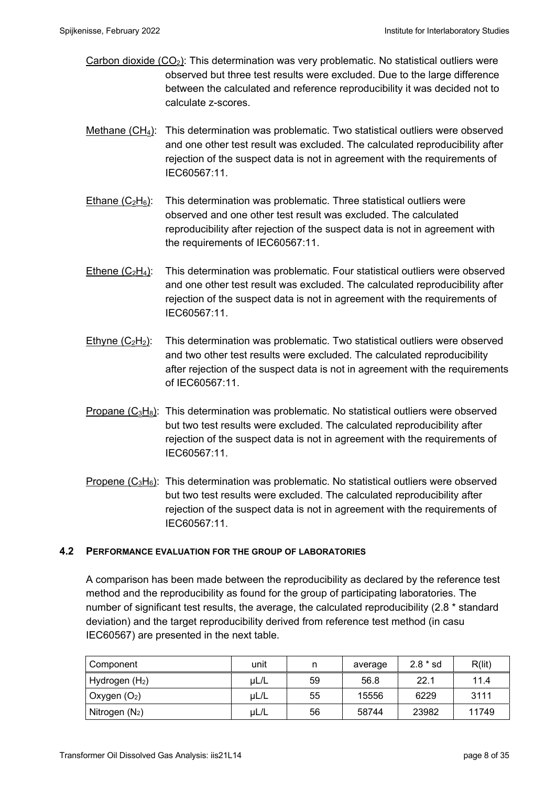- Carbon dioxide  $(CO_2)$ : This determination was very problematic. No statistical outliers were observed but three test results were excluded. Due to the large difference between the calculated and reference reproducibility it was decided not to calculate z-scores.
- Methane (CH<sub>4</sub>): This determination was problematic. Two statistical outliers were observed and one other test result was excluded. The calculated reproducibility after rejection of the suspect data is not in agreement with the requirements of IEC60567:11.
- Ethane  $(C_2H_6)$ : This determination was problematic. Three statistical outliers were observed and one other test result was excluded. The calculated reproducibility after rejection of the suspect data is not in agreement with the requirements of IEC60567:11.
- Ethene  $(C_2H_4)$ : This determination was problematic. Four statistical outliers were observed and one other test result was excluded. The calculated reproducibility after rejection of the suspect data is not in agreement with the requirements of IEC60567:11.
- Ethyne  $(C_2H_2)$ : This determination was problematic. Two statistical outliers were observed and two other test results were excluded. The calculated reproducibility after rejection of the suspect data is not in agreement with the requirements of IEC60567:11.
- Propane  $(C_3H_8)$ : This determination was problematic. No statistical outliers were observed but two test results were excluded. The calculated reproducibility after rejection of the suspect data is not in agreement with the requirements of IEC60567:11.
- Propene  $(C_3H_6)$ : This determination was problematic. No statistical outliers were observed but two test results were excluded. The calculated reproducibility after rejection of the suspect data is not in agreement with the requirements of IEC60567:11.

### **4.2 PERFORMANCE EVALUATION FOR THE GROUP OF LABORATORIES**

A comparison has been made between the reproducibility as declared by the reference test method and the reproducibility as found for the group of participating laboratories. The number of significant test results, the average, the calculated reproducibility (2.8 \* standard deviation) and the target reproducibility derived from reference test method (in casu IEC60567) are presented in the next table.

| Component                  | unit |    | average | $2.8 * sd$ | R(lit) |
|----------------------------|------|----|---------|------------|--------|
| Hydrogen (H <sub>2</sub> ) | UL/L | 59 | 56.8    | 22.1       | 11.4   |
| $\vert$ Oxygen $(O_2)$     | uL/L | 55 | 15556   | 6229       | 3111   |
| Nitrogen $(N_2)$           | UL/L | 56 | 58744   | 23982      | 11749  |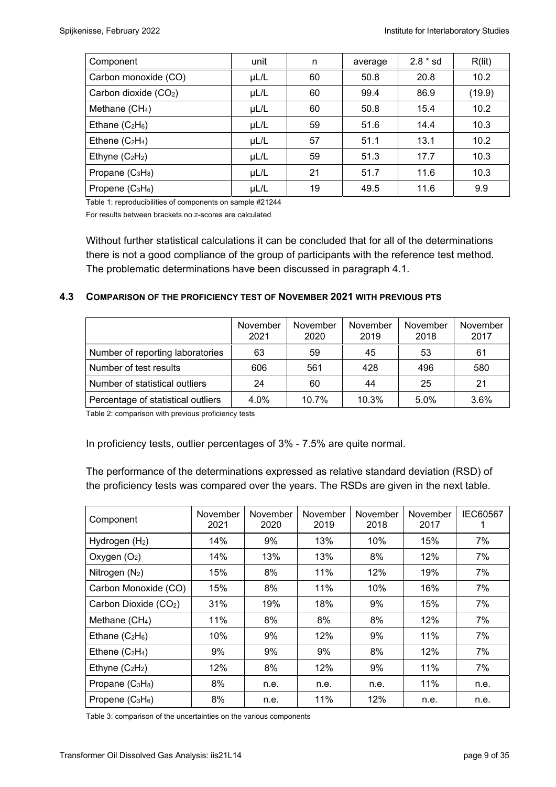| Component                                | unit      | n  | average | $2.8 * sd$ | R(lit) |
|------------------------------------------|-----------|----|---------|------------|--------|
| Carbon monoxide (CO)                     | $\mu$ L/L | 60 | 50.8    | 20.8       | 10.2   |
| Carbon dioxide (CO <sub>2</sub> )        | $\mu$ L/L | 60 | 99.4    | 86.9       | (19.9) |
| Methane $(CH_4)$                         | $\mu$ L/L | 60 | 50.8    | 15.4       | 10.2   |
| Ethane $(C_2H_6)$                        | $\mu$ L/L | 59 | 51.6    | 14.4       | 10.3   |
| Ethene $(C_2H_4)$                        | $\mu$ L/L | 57 | 51.1    | 13.1       | 10.2   |
| Ethyne $(C_2H_2)$                        | $\mu$ L/L | 59 | 51.3    | 17.7       | 10.3   |
| Propane (C <sub>3</sub> H <sub>8</sub> ) | $\mu$ L/L | 21 | 51.7    | 11.6       | 10.3   |
| Propene $(C_3H_6)$                       | $\mu$ L/L | 19 | 49.5    | 11.6       | 9.9    |

Table 1: reproducibilities of components on sample #21244

For results between brackets no z-scores are calculated

Without further statistical calculations it can be concluded that for all of the determinations there is not a good compliance of the group of participants with the reference test method. The problematic determinations have been discussed in paragraph 4.1.

### **4.3 COMPARISON OF THE PROFICIENCY TEST OF NOVEMBER 2021 WITH PREVIOUS PTS**

|                                    | November<br>2021 | November<br>2020 | November<br>2019 | November<br>2018 | November<br>2017 |
|------------------------------------|------------------|------------------|------------------|------------------|------------------|
| Number of reporting laboratories   | 63               | 59               | 45               | 53               | 61               |
| Number of test results             | 606              | 561              | 428              | 496              | 580              |
| Number of statistical outliers     | 24               | 60               | 44               | 25               | 21               |
| Percentage of statistical outliers | 4.0%             | 10.7%            | 10.3%            | 5.0%             | 3.6%             |

Table 2: comparison with previous proficiency tests

In proficiency tests, outlier percentages of 3% - 7.5% are quite normal.

The performance of the determinations expressed as relative standard deviation (RSD) of the proficiency tests was compared over the years. The RSDs are given in the next table.

| Component                         | November<br>2021 | November<br>2020 | November<br>2019 | November<br>2018 | November<br>2017 | IEC60567 |
|-----------------------------------|------------------|------------------|------------------|------------------|------------------|----------|
| Hydrogen (H <sub>2</sub> )        | 14%              | 9%               | 13%              | 10%              | 15%              | 7%       |
| Oxygen $(O_2)$                    | 14%              | 13%              | 13%              | 8%               | 12%              | 7%       |
| Nitrogen $(N_2)$                  | 15%              | 8%               | 11%              | 12%              | 19%              | 7%       |
| Carbon Monoxide (CO)              | 15%              | 8%               | 11%              | 10%              | 16%              | 7%       |
| Carbon Dioxide (CO <sub>2</sub> ) | 31%              | 19%              | 18%              | 9%               | 15%              | 7%       |
| Methane $(CH_4)$                  | 11%              | 8%               | 8%               | 8%               | 12%              | 7%       |
| Ethane $(C_2H_6)$                 | 10%              | 9%               | 12%              | 9%               | 11%              | 7%       |
| Ethene $(C_2H_4)$                 | 9%               | 9%               | 9%               | 8%               | 12%              | 7%       |
| Ethyne $(C_2H_2)$                 | 12%              | 8%               | 12%              | 9%               | 11%              | 7%       |
| Propane $(C_3H_8)$                | 8%               | n.e.             | n.e.             | n.e.             | 11%              | n.e.     |
| Propene $(C_3H_6)$                | 8%               | n.e.             | 11%              | 12%              | n.e.             | n.e.     |

Table 3: comparison of the uncertainties on the various components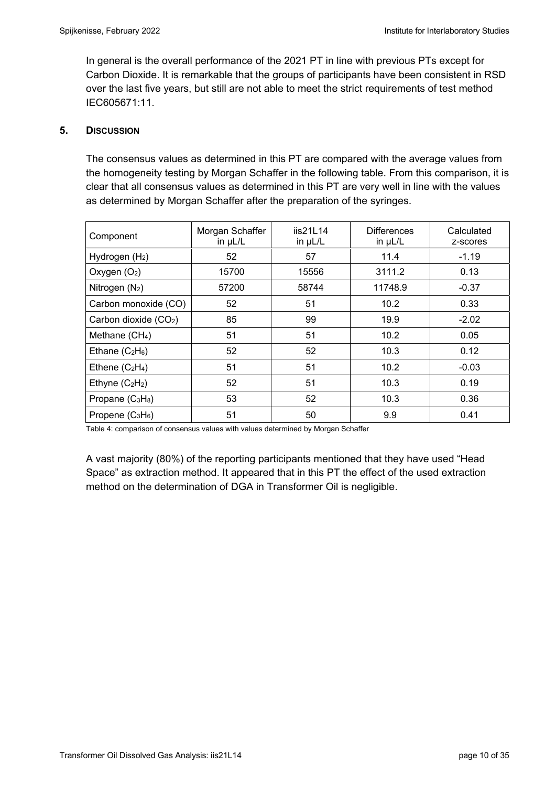In general is the overall performance of the 2021 PT in line with previous PTs except for Carbon Dioxide. It is remarkable that the groups of participants have been consistent in RSD over the last five years, but still are not able to meet the strict requirements of test method IEC605671:11.

### **5. DISCUSSION**

The consensus values as determined in this PT are compared with the average values from the homogeneity testing by Morgan Schaffer in the following table. From this comparison, it is clear that all consensus values as determined in this PT are very well in line with the values as determined by Morgan Schaffer after the preparation of the syringes.

| Component                         | Morgan Schaffer<br>in $\mu$ L/L | iis21L14<br>in $\mu$ L/L | <b>Differences</b><br>in $\mu$ L/L | Calculated<br>z-scores |
|-----------------------------------|---------------------------------|--------------------------|------------------------------------|------------------------|
| Hydrogen $(H2)$                   | 52                              | 57                       | 11.4                               | $-1.19$                |
| Oxygen $(O_2)$                    | 15700                           | 15556                    | 3111.2                             | 0.13                   |
| Nitrogen $(N_2)$                  | 57200                           | 58744                    | 11748.9                            | $-0.37$                |
| Carbon monoxide (CO)              | 52                              | 51                       | 10.2                               | 0.33                   |
| Carbon dioxide (CO <sub>2</sub> ) | 85                              | 99                       | 19.9                               | $-2.02$                |
| Methane (CH <sub>4</sub> )        | 51                              | 51                       | 10.2                               | 0.05                   |
| Ethane $(C_2H_6)$                 | 52                              | 52                       | 10.3                               | 0.12                   |
| Ethene $(C_2H_4)$                 | 51                              | 51                       | 10.2                               | $-0.03$                |
| Ethyne $(C_2H_2)$                 | 52                              | 51                       | 10.3                               | 0.19                   |
| Propane $(C_3H_8)$                | 53                              | 52                       | 10.3                               | 0.36                   |
| Propene $(C_3H_6)$                | 51                              | 50                       | 9.9                                | 0.41                   |

Table 4: comparison of consensus values with values determined by Morgan Schaffer

A vast majority (80%) of the reporting participants mentioned that they have used "Head Space" as extraction method. It appeared that in this PT the effect of the used extraction method on the determination of DGA in Transformer Oil is negligible.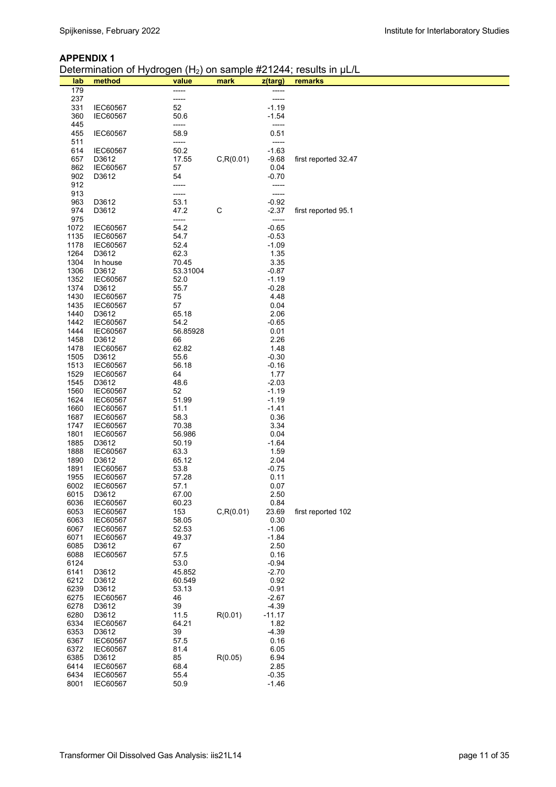#### **APPENDIX 1**

Determination of Hydrogen (H<sub>2</sub>) on sample #21244; results in uL/L

| lab          | .<br>method                        | value         | mark       | z(targ)            | $\sum_{i=1}^{n}$ on cample $n = 1, 1, 1$ coanto<br>remarks |
|--------------|------------------------------------|---------------|------------|--------------------|------------------------------------------------------------|
| 179          |                                    | -----         |            | -----              |                                                            |
| 237          |                                    | -----         |            |                    |                                                            |
| 331          | IEC60567                           | 52            |            | $-1.19$            |                                                            |
| 360          | <b>IEC60567</b>                    | 50.6          |            | $-1.54$            |                                                            |
| 445          |                                    | -----         |            | -----              |                                                            |
| 455          | IEC60567                           | 58.9          |            | 0.51               |                                                            |
| 511          |                                    | -----         |            | -----              |                                                            |
| 614          | <b>IEC60567</b>                    | 50.2          |            | $-1.63$            |                                                            |
| 657          | D3612                              | 17.55         | C, R(0.01) | $-9.68$            | first reported 32.47                                       |
| 862          | <b>IEC60567</b>                    | 57            |            | 0.04               |                                                            |
| 902          | D3612                              | 54            |            | $-0.70$            |                                                            |
| 912          |                                    | -----         |            | -----              |                                                            |
| 913          |                                    | -----         |            | -----              |                                                            |
| 963          | D3612                              | 53.1          |            | $-0.92$            |                                                            |
| 974          | D3612                              | 47.2          | C          | $-2.37$            | first reported 95.1                                        |
| 975          |                                    | -----         |            | -----              |                                                            |
| 1072         | <b>IEC60567</b>                    | 54.2          |            | $-0.65$            |                                                            |
| 1135         | <b>IEC60567</b>                    | 54.7          |            | $-0.53$            |                                                            |
| 1178         | <b>IEC60567</b>                    | 52.4          |            | $-1.09$            |                                                            |
| 1264         | D3612                              | 62.3          |            | 1.35               |                                                            |
| 1304         | In house                           | 70.45         |            | 3.35               |                                                            |
| 1306         | D3612                              | 53.31004      |            | $-0.87$            |                                                            |
| 1352         | <b>IEC60567</b>                    | 52.0          |            | $-1.19$            |                                                            |
| 1374         | D3612                              | 55.7          |            | $-0.28$            |                                                            |
| 1430         | <b>IEC60567</b>                    | 75            |            | 4.48               |                                                            |
| 1435         | <b>IEC60567</b>                    | 57            |            | 0.04               |                                                            |
| 1440         | D3612                              | 65.18         |            | 2.06               |                                                            |
| 1442         | <b>IEC60567</b>                    | 54.2          |            | $-0.65$            |                                                            |
| 1444         | <b>IEC60567</b>                    | 56.85928      |            | 0.01               |                                                            |
| 1458         | D3612                              | 66            |            | 2.26               |                                                            |
| 1478<br>1505 | <b>IEC60567</b>                    | 62.82         |            | 1.48               |                                                            |
| 1513         | D3612<br><b>IEC60567</b>           | 55.6<br>56.18 |            | $-0.30$<br>$-0.16$ |                                                            |
| 1529         | <b>IEC60567</b>                    | 64            |            | 1.77               |                                                            |
| 1545         | D3612                              | 48.6          |            | $-2.03$            |                                                            |
| 1560         | <b>IEC60567</b>                    | 52            |            | $-1.19$            |                                                            |
| 1624         | <b>IEC60567</b>                    | 51.99         |            | $-1.19$            |                                                            |
| 1660         | <b>IEC60567</b>                    | 51.1          |            | $-1.41$            |                                                            |
| 1687         | <b>IEC60567</b>                    | 58.3          |            | 0.36               |                                                            |
| 1747         | <b>IEC60567</b>                    | 70.38         |            | 3.34               |                                                            |
| 1801         | <b>IEC60567</b>                    | 56.986        |            | 0.04               |                                                            |
| 1885         | D3612                              | 50.19         |            | $-1.64$            |                                                            |
| 1888         | <b>IEC60567</b>                    | 63.3          |            | 1.59               |                                                            |
| 1890         | D3612                              | 65.12         |            | 2.04               |                                                            |
| 1891         | <b>IEC60567</b>                    | 53.8          |            | $-0.75$            |                                                            |
| 1955         | <b>IEC60567</b>                    | 57.28         |            | 0.11               |                                                            |
| 6002         | <b>IEC60567</b>                    | 57.1          |            | 0.07               |                                                            |
| 6015         | D3612                              | 67.00         |            | 2.50               |                                                            |
| 6036         | <b>IEC60567</b>                    | 60.23         |            | 0.84               |                                                            |
| 6053         | <b>IEC60567</b>                    | 153           | C, R(0.01) | 23.69              | first reported 102                                         |
| 6063         | <b>IEC60567</b>                    | 58.05         |            | 0.30               |                                                            |
| 6067         | <b>IEC60567</b><br><b>IEC60567</b> | 52.53         |            | $-1.06$            |                                                            |
| 6071<br>6085 | D3612                              | 49.37<br>67   |            | $-1.84$<br>2.50    |                                                            |
| 6088         | IEC60567                           | 57.5          |            | 0.16               |                                                            |
| 6124         |                                    | 53.0          |            | $-0.94$            |                                                            |
| 6141         | D3612                              | 45.852        |            | $-2.70$            |                                                            |
| 6212         | D3612                              | 60.549        |            | 0.92               |                                                            |
| 6239         | D3612                              | 53.13         |            | $-0.91$            |                                                            |
| 6275         | <b>IEC60567</b>                    | 46            |            | $-2.67$            |                                                            |
| 6278         | D3612                              | 39            |            | $-4.39$            |                                                            |
| 6280         | D3612                              | 11.5          | R(0.01)    | $-11.17$           |                                                            |
| 6334         | <b>IEC60567</b>                    | 64.21         |            | 1.82               |                                                            |
| 6353         | D3612                              | 39            |            | $-4.39$            |                                                            |
| 6367         | <b>IEC60567</b>                    | 57.5          |            | 0.16               |                                                            |
| 6372         | <b>IEC60567</b>                    | 81.4          |            | 6.05               |                                                            |
| 6385         | D3612                              | 85            | R(0.05)    | 6.94               |                                                            |
| 6414         | <b>IEC60567</b>                    | 68.4          |            | 2.85               |                                                            |
| 6434         | IEC60567                           | 55.4          |            | $-0.35$            |                                                            |
| 8001         | <b>IEC60567</b>                    | 50.9          |            | $-1.46$            |                                                            |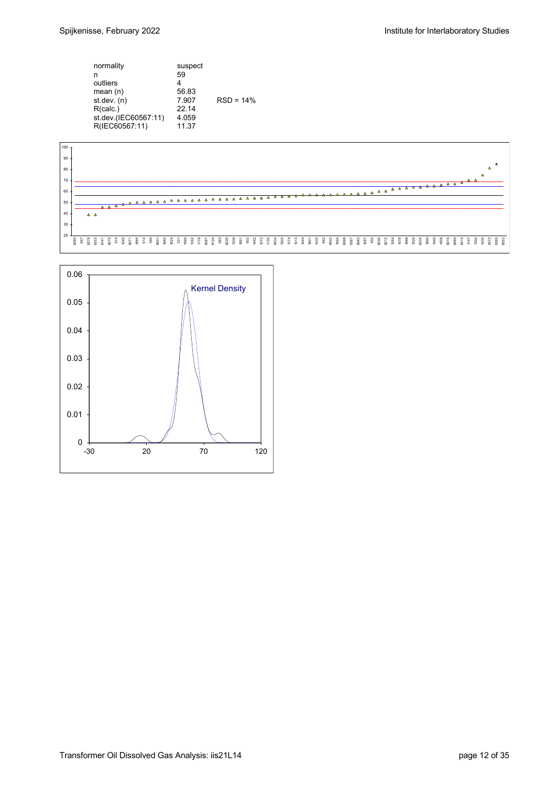| normality<br>n<br>outliers<br>mean $(n)$<br>st. dev. (n)<br>R(calc.)<br>st.dev.(IEC60567:11) | suspect<br>59<br>56.83<br>7.907<br>22 14<br>4.059 | $RSD = 14%$ |
|----------------------------------------------------------------------------------------------|---------------------------------------------------|-------------|
| R(IEC60567:11)                                                                               | 11.37                                             |             |



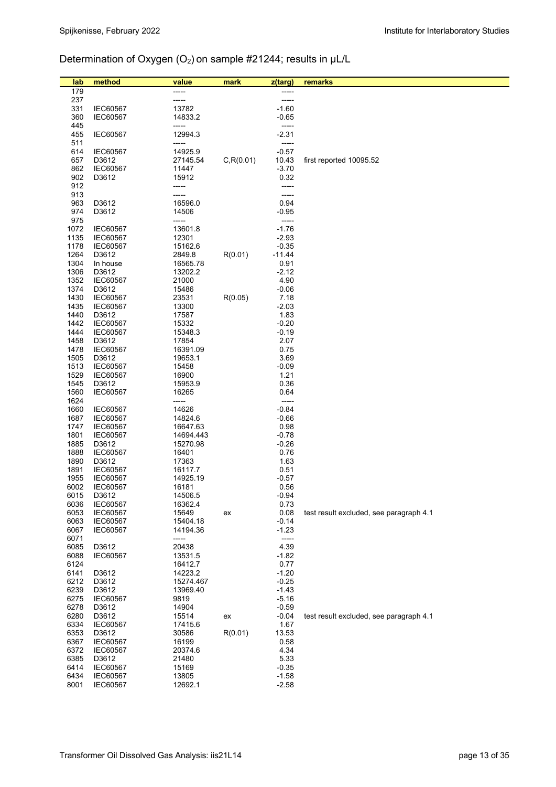# Determination of Oxygen (O2) on sample #21244; results in µL/L

| lab          | method                             | value              | mark       | z(targ)          | remarks                                 |
|--------------|------------------------------------|--------------------|------------|------------------|-----------------------------------------|
| 179          |                                    | -----              |            | -----            |                                         |
| 237          |                                    | -----              |            | -----            |                                         |
| 331          | <b>IEC60567</b>                    | 13782              |            | $-1.60$          |                                         |
| 360          | IEC60567                           | 14833.2            |            | $-0.65$          |                                         |
| 445<br>455   | <b>IEC60567</b>                    | -----<br>12994.3   |            | -----<br>$-2.31$ |                                         |
| 511          |                                    | -----              |            | -----            |                                         |
| 614          | <b>IEC60567</b>                    | 14925.9            |            | $-0.57$          |                                         |
| 657          | D3612                              | 27145.54           | C, R(0.01) | 10.43            | first reported 10095.52                 |
| 862          | <b>IEC60567</b>                    | 11447              |            | $-3.70$          |                                         |
| 902          | D3612                              | 15912              |            | 0.32             |                                         |
| 912          |                                    | -----              |            | -----            |                                         |
| 913<br>963   | D3612                              | -----<br>16596.0   |            | -----<br>0.94    |                                         |
| 974          | D3612                              | 14506              |            | $-0.95$          |                                         |
| 975          |                                    | -----              |            | -----            |                                         |
| 1072         | <b>IEC60567</b>                    | 13601.8            |            | $-1.76$          |                                         |
| 1135         | <b>IEC60567</b>                    | 12301              |            | $-2.93$          |                                         |
| 1178         | <b>IEC60567</b>                    | 15162.6            |            | $-0.35$          |                                         |
| 1264<br>1304 | D3612<br>In house                  | 2849.8<br>16565.78 | R(0.01)    | $-11.44$<br>0.91 |                                         |
| 1306         | D3612                              | 13202.2            |            | $-2.12$          |                                         |
| 1352         | <b>IEC60567</b>                    | 21000              |            | 4.90             |                                         |
| 1374         | D3612                              | 15486              |            | $-0.06$          |                                         |
| 1430         | <b>IEC60567</b>                    | 23531              | R(0.05)    | 7.18             |                                         |
| 1435         | <b>IEC60567</b>                    | 13300              |            | $-2.03$          |                                         |
| 1440<br>1442 | D3612<br><b>IEC60567</b>           | 17587<br>15332     |            | 1.83<br>$-0.20$  |                                         |
| 1444         | <b>IEC60567</b>                    | 15348.3            |            | $-0.19$          |                                         |
| 1458         | D3612                              | 17854              |            | 2.07             |                                         |
| 1478         | <b>IEC60567</b>                    | 16391.09           |            | 0.75             |                                         |
| 1505         | D3612                              | 19653.1            |            | 3.69             |                                         |
| 1513         | <b>IEC60567</b>                    | 15458              |            | $-0.09$          |                                         |
| 1529         | <b>IEC60567</b>                    | 16900              |            | 1.21             |                                         |
| 1545<br>1560 | D3612<br><b>IEC60567</b>           | 15953.9<br>16265   |            | 0.36<br>0.64     |                                         |
| 1624         |                                    | -----              |            | -----            |                                         |
| 1660         | <b>IEC60567</b>                    | 14626              |            | $-0.84$          |                                         |
| 1687         | <b>IEC60567</b>                    | 14824.6            |            | $-0.66$          |                                         |
| 1747         | <b>IEC60567</b>                    | 16647.63           |            | 0.98             |                                         |
| 1801         | <b>IEC60567</b>                    | 14694.443          |            | $-0.78$          |                                         |
| 1885<br>1888 | D3612<br><b>IEC60567</b>           | 15270.98<br>16401  |            | $-0.26$<br>0.76  |                                         |
| 1890         | D3612                              | 17363              |            | 1.63             |                                         |
| 1891         | IEC60567                           | 16117.7            |            | 0.51             |                                         |
| 1955         | <b>IEC60567</b>                    | 14925.19           |            | $-0.57$          |                                         |
| 6002         | <b>IEC60567</b>                    | 16181              |            | 0.56             |                                         |
| 6015<br>6036 | D3612                              | 14506.5            |            | $-0.94$<br>0.73  |                                         |
| 6053         | <b>IEC60567</b><br><b>IEC60567</b> | 16362.4<br>15649   | ex         | 0.08             | test result excluded, see paragraph 4.1 |
| 6063         | <b>IEC60567</b>                    | 15404.18           |            | $-0.14$          |                                         |
| 6067         | <b>IEC60567</b>                    | 14194.36           |            | $-1.23$          |                                         |
| 6071         |                                    | -----              |            | -----            |                                         |
| 6085         | D3612                              | 20438              |            | 4.39             |                                         |
| 6088<br>6124 | <b>IEC60567</b>                    | 13531.5<br>16412.7 |            | $-1.82$<br>0.77  |                                         |
| 6141         | D3612                              | 14223.2            |            | $-1.20$          |                                         |
| 6212         | D3612                              | 15274.467          |            | $-0.25$          |                                         |
| 6239         | D3612                              | 13969.40           |            | $-1.43$          |                                         |
| 6275         | <b>IEC60567</b>                    | 9819               |            | $-5.16$          |                                         |
| 6278         | D3612                              | 14904              |            | $-0.59$          |                                         |
| 6280<br>6334 | D3612<br><b>IEC60567</b>           | 15514              | ex         | $-0.04$<br>1.67  | test result excluded, see paragraph 4.1 |
| 6353         | D3612                              | 17415.6<br>30586   | R(0.01)    | 13.53            |                                         |
| 6367         | <b>IEC60567</b>                    | 16199              |            | 0.58             |                                         |
| 6372         | <b>IEC60567</b>                    | 20374.6            |            | 4.34             |                                         |
| 6385         | D3612                              | 21480              |            | 5.33             |                                         |
| 6414         | <b>IEC60567</b>                    | 15169              |            | $-0.35$          |                                         |
| 6434         | IEC60567                           | 13805<br>12692.1   |            | $-1.58$          |                                         |
| 8001         | <b>IEC60567</b>                    |                    |            | $-2.58$          |                                         |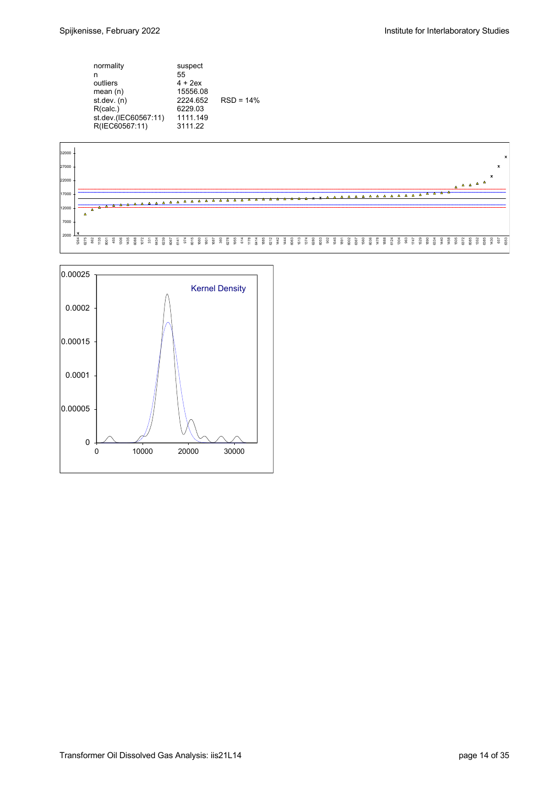| normality<br>n<br>outliers<br>mean $(n)$<br>st.dev. (n)<br>R(calc.)<br>st.dev.(IEC60567:11) | suspect<br>55<br>$4 + 2ex$<br>15556.08<br>2224.652<br>6229.03<br>1111.149 | $RSD = 14%$ |
|---------------------------------------------------------------------------------------------|---------------------------------------------------------------------------|-------------|
| R(IEC60567:11)                                                                              | 3111.22                                                                   |             |
|                                                                                             |                                                                           |             |



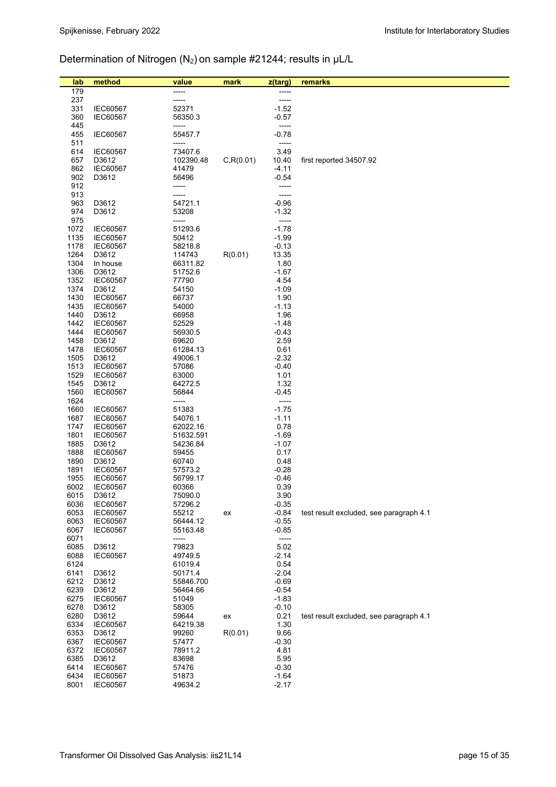# Determination of Nitrogen (N<sub>2</sub>) on sample #21244; results in µL/L

| lab          | method                             | value                 | mark       | z(targ)            | remarks                                 |
|--------------|------------------------------------|-----------------------|------------|--------------------|-----------------------------------------|
| 179          |                                    |                       |            |                    |                                         |
| 237          |                                    |                       |            | -----              |                                         |
| 331          | <b>IEC60567</b>                    | 52371                 |            | $-1.52$            |                                         |
| 360          | <b>IEC60567</b>                    | 56350.3               |            | $-0.57$            |                                         |
| 445<br>455   | <b>IEC60567</b>                    | -----<br>55457.7      |            | -----<br>$-0.78$   |                                         |
| 511          |                                    | -----                 |            | -----              |                                         |
| 614          | <b>IEC60567</b>                    | 73407.6               |            | 3.49               |                                         |
| 657          | D3612                              | 102390.48             | C, R(0.01) | 10.40              | first reported 34507.92                 |
| 862          | <b>IEC60567</b>                    | 41479                 |            | $-4.11$            |                                         |
| 902          | D3612                              | 56496                 |            | $-0.54$            |                                         |
| 912<br>913   |                                    | -----<br>-----        |            |                    |                                         |
| 963          | D3612                              | 54721.1               |            | $-0.96$            |                                         |
| 974          | D3612                              | 53208                 |            | $-1.32$            |                                         |
| 975          |                                    | -----                 |            | -----              |                                         |
| 1072         | <b>IEC60567</b>                    | 51293.6               |            | $-1.78$            |                                         |
| 1135         | <b>IEC60567</b>                    | 50412                 |            | $-1.99$            |                                         |
| 1178<br>1264 | <b>IEC60567</b><br>D3612           | 58218.8<br>114743     | R(0.01)    | $-0.13$<br>13.35   |                                         |
| 1304         | In house                           | 66311.82              |            | 1.80               |                                         |
| 1306         | D3612                              | 51752.6               |            | $-1.67$            |                                         |
| 1352         | <b>IEC60567</b>                    | 77790                 |            | 4.54               |                                         |
| 1374         | D3612                              | 54150                 |            | $-1.09$            |                                         |
| 1430         | <b>IEC60567</b>                    | 66737                 |            | 1.90               |                                         |
| 1435<br>1440 | <b>IEC60567</b><br>D3612           | 54000<br>66958        |            | $-1.13$<br>1.96    |                                         |
| 1442         | <b>IEC60567</b>                    | 52529                 |            | $-1.48$            |                                         |
| 1444         | <b>IEC60567</b>                    | 56930.5               |            | $-0.43$            |                                         |
| 1458         | D3612                              | 69620                 |            | 2.59               |                                         |
| 1478         | <b>IEC60567</b>                    | 61284.13              |            | 0.61               |                                         |
| 1505         | D3612                              | 49006.1               |            | $-2.32$            |                                         |
| 1513<br>1529 | <b>IEC60567</b><br><b>IEC60567</b> | 57086<br>63000        |            | $-0.40$<br>1.01    |                                         |
| 1545         | D3612                              | 64272.5               |            | 1.32               |                                         |
| 1560         | <b>IEC60567</b>                    | 56844                 |            | $-0.45$            |                                         |
| 1624         |                                    | -----                 |            | -----              |                                         |
| 1660         | <b>IEC60567</b>                    | 51383                 |            | $-1.75$            |                                         |
| 1687         | <b>IEC60567</b>                    | 54076.1               |            | $-1.11$            |                                         |
| 1747<br>1801 | <b>IEC60567</b><br><b>IEC60567</b> | 62022.16<br>51632.591 |            | 0.78<br>$-1.69$    |                                         |
| 1885         | D3612                              | 54236.84              |            | $-1.07$            |                                         |
| 1888         | <b>IEC60567</b>                    | 59455                 |            | 0.17               |                                         |
| 1890         | D3612                              | 60740                 |            | 0.48               |                                         |
| 1891         | <b>IEC60567</b>                    | 57573.2               |            | $-0.28$            |                                         |
| 1955<br>6002 | <b>IEC60567</b>                    | 56799.17              |            | $-0.46$<br>0.39    |                                         |
| 6015         | <b>IEC60567</b><br>D3612           | 60366<br>75090.0      |            | 3.90               |                                         |
| 6036         | <b>IEC60567</b>                    | 57296.2               |            | $-0.35$            |                                         |
| 6053         | <b>IEC60567</b>                    | 55212                 | ex         | $-0.84$            | test result excluded, see paragraph 4.1 |
| 6063         | <b>IEC60567</b>                    | 56444.12              |            | $-0.55$            |                                         |
| 6067         | <b>IEC60567</b>                    | 55163.48              |            | $-0.85$            |                                         |
| 6071<br>6085 | D3612                              | -----<br>79823        |            | -----<br>5.02      |                                         |
| 6088         | <b>IEC60567</b>                    | 49749.5               |            | $-2.14$            |                                         |
| 6124         |                                    | 61019.4               |            | 0.54               |                                         |
| 6141         | D3612                              | 50171.4               |            | $-2.04$            |                                         |
| 6212         | D3612                              | 55846.700             |            | $-0.69$            |                                         |
| 6239         | D3612                              | 56464.66              |            | $-0.54$            |                                         |
| 6275<br>6278 | <b>IEC60567</b><br>D3612           | 51049<br>58305        |            | $-1.83$<br>$-0.10$ |                                         |
| 6280         | D3612                              | 59644                 | ex         | 0.21               | test result excluded, see paragraph 4.1 |
| 6334         | <b>IEC60567</b>                    | 64219.38              |            | 1.30               |                                         |
| 6353         | D3612                              | 99260                 | R(0.01)    | 9.66               |                                         |
| 6367         | <b>IEC60567</b>                    | 57477                 |            | $-0.30$            |                                         |
| 6372         | <b>IEC60567</b>                    | 78911.2               |            | 4.81               |                                         |
| 6385<br>6414 | D3612<br><b>IEC60567</b>           | 83698<br>57476        |            | 5.95<br>-0.30      |                                         |
| 6434         | <b>IEC60567</b>                    | 51873                 |            | $-1.64$            |                                         |
| 8001         | IEC60567                           | 49634.2               |            | $-2.17$            |                                         |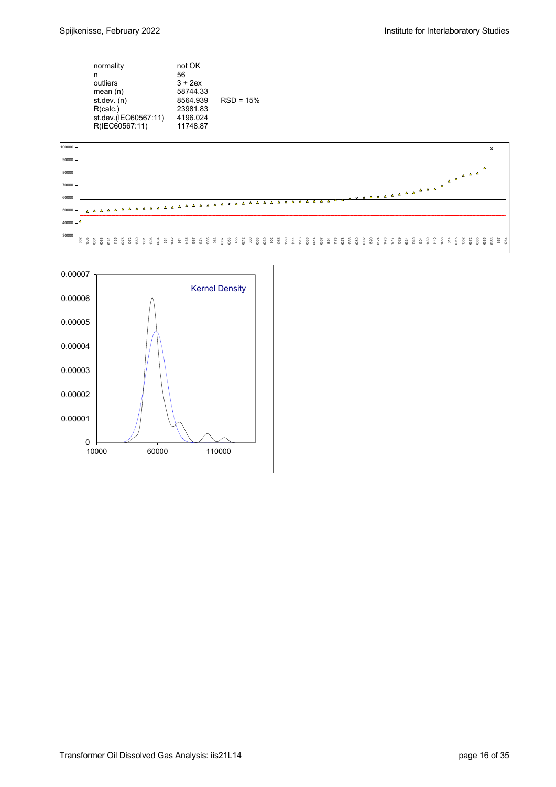| normality<br>n<br>outliers<br>mean $(n)$                            | not OK<br>56<br>$3 + 2ex$<br>58744.33<br>8564.939 | $RSD = 15%$ |
|---------------------------------------------------------------------|---------------------------------------------------|-------------|
| st dev. $(n)$<br>R(calc.)<br>st.dev.(IEC60567:11)<br>R(IEC60567:11) | 23981.83<br>4196.024<br>11748.87                  |             |



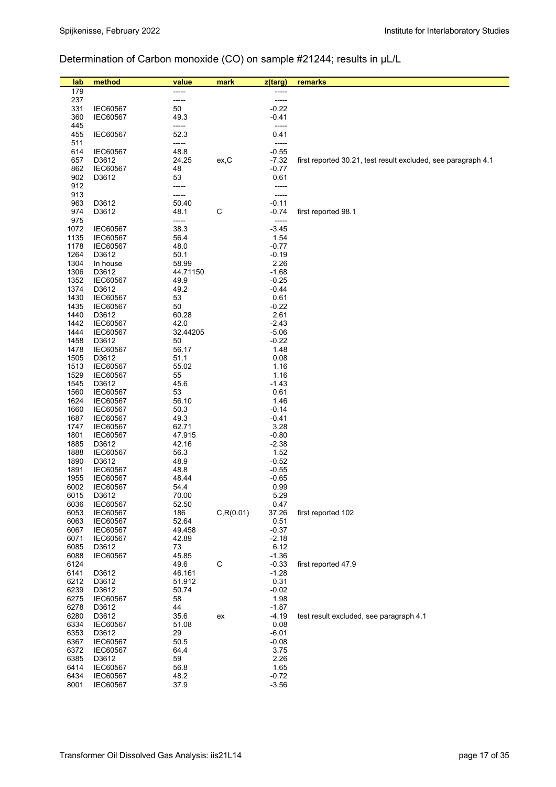# Determination of Carbon monoxide (CO) on sample #21244; results in µL/L

| lab          | method                             | value           | mark         | z(targ)            | remarks                                                       |
|--------------|------------------------------------|-----------------|--------------|--------------------|---------------------------------------------------------------|
| 179          |                                    | -----           |              | -----              |                                                               |
| 237          |                                    | -----           |              | -----              |                                                               |
| 331          | <b>IEC60567</b>                    | 50              |              | $-0.22$            |                                                               |
| 360          | IEC60567                           | 49.3            |              | $-0.41$            |                                                               |
| 445          |                                    | -----           |              | -----              |                                                               |
| 455          | IEC60567                           | 52.3            |              | 0.41               |                                                               |
| 511          |                                    | -----           |              | -----              |                                                               |
| 614          | <b>IEC60567</b>                    | 48.8            |              | $-0.55$            |                                                               |
| 657<br>862   | D3612<br><b>IEC60567</b>           | 24.25<br>48     | ex, C        | $-7.32$<br>$-0.77$ | first reported 30.21, test result excluded, see paragraph 4.1 |
| 902          | D3612                              | 53              |              | 0.61               |                                                               |
| 912          |                                    | -----           |              | -----              |                                                               |
| 913          |                                    | -----           |              | -----              |                                                               |
| 963          | D3612                              | 50.40           |              | $-0.11$            |                                                               |
| 974          | D3612                              | 48.1            | $\mathsf{C}$ | $-0.74$            | first reported 98.1                                           |
| 975          |                                    | -----           |              | -----              |                                                               |
| 1072         | <b>IEC60567</b>                    | 38.3            |              | $-3.45$            |                                                               |
| 1135         | <b>IEC60567</b>                    | 56.4            |              | 1.54               |                                                               |
| 1178         | <b>IEC60567</b>                    | 48.0            |              | $-0.77$            |                                                               |
| 1264<br>1304 | D3612<br>In house                  | 50.1<br>58.99   |              | $-0.19$<br>2.26    |                                                               |
| 1306         | D3612                              | 44.71150        |              | $-1.68$            |                                                               |
| 1352         | <b>IEC60567</b>                    | 49.9            |              | $-0.25$            |                                                               |
| 1374         | D3612                              | 49.2            |              | $-0.44$            |                                                               |
| 1430         | <b>IEC60567</b>                    | 53              |              | 0.61               |                                                               |
| 1435         | <b>IEC60567</b>                    | 50              |              | $-0.22$            |                                                               |
| 1440         | D3612                              | 60.28           |              | 2.61               |                                                               |
| 1442         | IEC60567                           | 42.0            |              | $-2.43$            |                                                               |
| 1444         | <b>IEC60567</b>                    | 32.44205        |              | $-5.06$            |                                                               |
| 1458         | D3612                              | 50              |              | $-0.22$            |                                                               |
| 1478<br>1505 | <b>IEC60567</b><br>D3612           | 56.17<br>51.1   |              | 1.48<br>0.08       |                                                               |
| 1513         | <b>IEC60567</b>                    | 55.02           |              | 1.16               |                                                               |
| 1529         | <b>IEC60567</b>                    | 55              |              | 1.16               |                                                               |
| 1545         | D3612                              | 45.6            |              | $-1.43$            |                                                               |
| 1560         | <b>IEC60567</b>                    | 53              |              | 0.61               |                                                               |
| 1624         | <b>IEC60567</b>                    | 56.10           |              | 1.46               |                                                               |
| 1660         | <b>IEC60567</b>                    | 50.3            |              | $-0.14$            |                                                               |
| 1687         | <b>IEC60567</b>                    | 49.3            |              | $-0.41$            |                                                               |
| 1747         | <b>IEC60567</b>                    | 62.71           |              | 3.28               |                                                               |
| 1801         | <b>IEC60567</b>                    | 47.915          |              | $-0.80$            |                                                               |
| 1885<br>1888 | D3612<br><b>IEC60567</b>           | 42.16<br>56.3   |              | $-2.38$<br>1.52    |                                                               |
| 1890         | D3612                              | 48.9            |              | $-0.52$            |                                                               |
| 1891         | <b>IEC60567</b>                    | 48.8            |              | $-0.55$            |                                                               |
| 1955         | IEC60567                           | 48.44           |              | $-0.65$            |                                                               |
| 6002         | <b>IEC60567</b>                    | 54.4            |              | 0.99               |                                                               |
| 6015         | D3612                              | 70.00           |              | 5.29               |                                                               |
| 6036         | IEC60567                           | 52.50           |              | 0.47               |                                                               |
| 6053         | <b>IEC60567</b>                    | 186             | C, R(0.01)   | 37.26              | first reported 102                                            |
| 6063<br>6067 | <b>IEC60567</b>                    | 52.64           |              | 0.51<br>$-0.37$    |                                                               |
| 6071         | <b>IEC60567</b><br><b>IEC60567</b> | 49.458<br>42.89 |              | $-2.18$            |                                                               |
| 6085         | D3612                              | 73              |              | 6.12               |                                                               |
| 6088         | <b>IEC60567</b>                    | 45.85           |              | $-1.36$            |                                                               |
| 6124         |                                    | 49.6            | $\mathsf C$  | $-0.33$            | first reported 47.9                                           |
| 6141         | D3612                              | 46.161          |              | $-1.28$            |                                                               |
| 6212         | D3612                              | 51.912          |              | 0.31               |                                                               |
| 6239         | D3612                              | 50.74           |              | $-0.02$            |                                                               |
| 6275         | <b>IEC60567</b>                    | 58              |              | 1.98               |                                                               |
| 6278         | D3612                              | 44              |              | $-1.87$            |                                                               |
| 6280<br>6334 | D3612<br><b>IEC60567</b>           | 35.6            | ex           | $-4.19$<br>0.08    | test result excluded, see paragraph 4.1                       |
| 6353         | D3612                              | 51.08<br>29     |              | $-6.01$            |                                                               |
| 6367         | <b>IEC60567</b>                    | 50.5            |              | $-0.08$            |                                                               |
| 6372         | IEC60567                           | 64.4            |              | 3.75               |                                                               |
| 6385         | D3612                              | 59              |              | 2.26               |                                                               |
| 6414         | IEC60567                           | 56.8            |              | 1.65               |                                                               |
| 6434         | <b>IEC60567</b>                    | 48.2            |              | $-0.72$            |                                                               |
| 8001         | <b>IEC60567</b>                    | 37.9            |              | $-3.56$            |                                                               |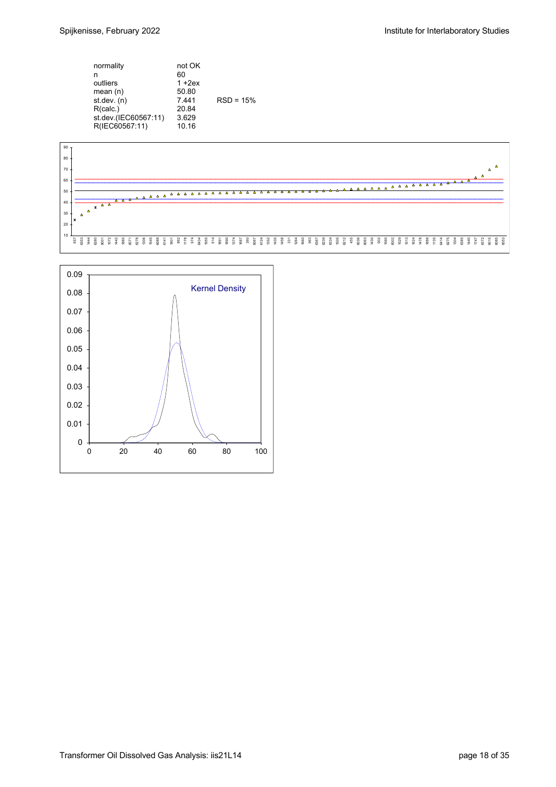| normality<br>n<br>outliers<br>mean $(n)$<br>st. dev. (n)<br>R(calc.)<br>st.dev.(IEC60567:11)<br>R(IEC60567:11) | not OK<br>60<br>$1 + 2ex$<br>50.80<br>7441<br>20.84<br>3.629<br>10.16 | $RSD = 15%$ |
|----------------------------------------------------------------------------------------------------------------|-----------------------------------------------------------------------|-------------|
|----------------------------------------------------------------------------------------------------------------|-----------------------------------------------------------------------|-------------|



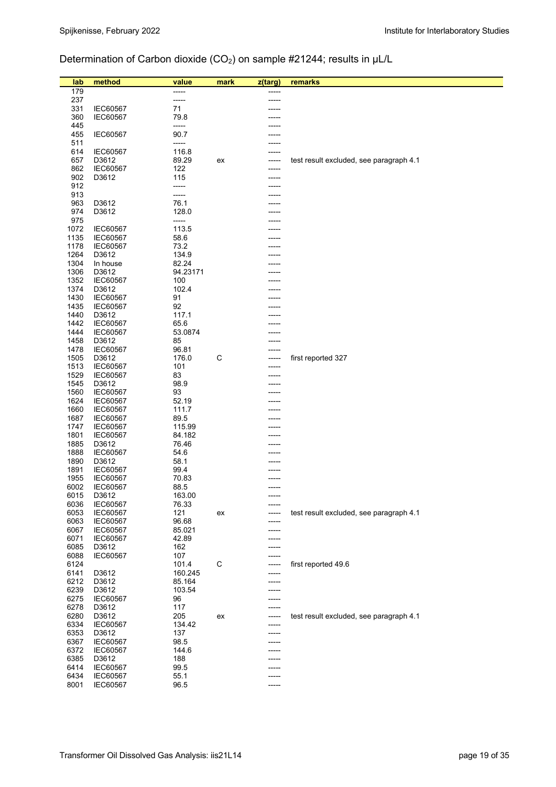# Determination of Carbon dioxide (CO<sub>2</sub>) on sample #21244; results in µL/L

| lab          | method                             | value            | mark        | z(targ) | remarks                                 |
|--------------|------------------------------------|------------------|-------------|---------|-----------------------------------------|
| 179          |                                    |                  |             |         |                                         |
| 237          |                                    | -----            |             |         |                                         |
| 331          | <b>IEC60567</b>                    | 71               |             |         |                                         |
| 360          | <b>IEC60567</b>                    | 79.8             |             |         |                                         |
| 445<br>455   | <b>IEC60567</b>                    | -----<br>90.7    |             |         |                                         |
| 511          |                                    | -----            |             |         |                                         |
| 614          | <b>IEC60567</b>                    | 116.8            |             |         |                                         |
| 657          | D3612                              | 89.29            | ex          |         | test result excluded, see paragraph 4.1 |
| 862          | <b>IEC60567</b>                    | 122              |             |         |                                         |
| 902          | D3612                              | 115              |             |         |                                         |
| 912<br>913   |                                    | -----<br>-----   |             |         |                                         |
| 963          | D3612                              | 76.1             |             |         |                                         |
| 974          | D3612                              | 128.0            |             |         |                                         |
| 975          |                                    | -----            |             |         |                                         |
| 1072         | <b>IEC60567</b>                    | 113.5            |             |         |                                         |
| 1135         | <b>IEC60567</b>                    | 58.6             |             |         |                                         |
| 1178<br>1264 | <b>IEC60567</b><br>D3612           | 73.2<br>134.9    |             |         |                                         |
| 1304         | In house                           | 82.24            |             |         |                                         |
| 1306         | D3612                              | 94.23171         |             |         |                                         |
| 1352         | <b>IEC60567</b>                    | 100              |             |         |                                         |
| 1374         | D3612                              | 102.4            |             |         |                                         |
| 1430         | <b>IEC60567</b>                    | 91               |             |         |                                         |
| 1435<br>1440 | <b>IEC60567</b><br>D3612           | 92<br>117.1      |             |         |                                         |
| 1442         | <b>IEC60567</b>                    | 65.6             |             |         |                                         |
| 1444         | <b>IEC60567</b>                    | 53.0874          |             |         |                                         |
| 1458         | D3612                              | 85               |             |         |                                         |
| 1478         | <b>IEC60567</b>                    | 96.81            |             |         |                                         |
| 1505         | D3612                              | 176.0            | $\mathsf C$ |         | first reported 327                      |
| 1513<br>1529 | <b>IEC60567</b><br><b>IEC60567</b> | 101<br>83        |             |         |                                         |
| 1545         | D3612                              | 98.9             |             |         |                                         |
| 1560         | <b>IEC60567</b>                    | 93               |             |         |                                         |
| 1624         | <b>IEC60567</b>                    | 52.19            |             |         |                                         |
| 1660         | <b>IEC60567</b>                    | 111.7            |             |         |                                         |
| 1687         | <b>IEC60567</b>                    | 89.5             |             |         |                                         |
| 1747<br>1801 | <b>IEC60567</b><br><b>IEC60567</b> | 115.99<br>84.182 |             |         |                                         |
| 1885         | D3612                              | 76.46            |             |         |                                         |
| 1888         | <b>IEC60567</b>                    | 54.6             |             |         |                                         |
| 1890         | D3612                              | 58.1             |             |         |                                         |
| 1891         | <b>IEC60567</b>                    | 99.4             |             |         |                                         |
| 1955         | <b>IEC60567</b>                    | 70.83            |             |         |                                         |
| 6002<br>6015 | <b>IEC60567</b><br>D3612           | 88.5<br>163.00   |             |         |                                         |
| 6036         | <b>IEC60567</b>                    | 76.33            |             |         |                                         |
| 6053         | <b>IEC60567</b>                    | 121              | ex          |         | test result excluded, see paragraph 4.1 |
| 6063         | <b>IEC60567</b>                    | 96.68            |             |         |                                         |
| 6067         | <b>IEC60567</b>                    | 85.021           |             |         |                                         |
| 6071<br>6085 | <b>IEC60567</b><br>D3612           | 42.89<br>162     |             |         |                                         |
| 6088         | <b>IEC60567</b>                    | 107              |             |         |                                         |
| 6124         |                                    | 101.4            | C           |         | first reported 49.6                     |
| 6141         | D3612                              | 160.245          |             |         |                                         |
| 6212         | D3612                              | 85.164           |             |         |                                         |
| 6239         | D3612                              | 103.54           |             |         |                                         |
| 6275<br>6278 | <b>IEC60567</b><br>D3612           | 96<br>117        |             |         |                                         |
| 6280         | D3612                              | 205              | ex          |         | test result excluded, see paragraph 4.1 |
| 6334         | <b>IEC60567</b>                    | 134.42           |             |         |                                         |
| 6353         | D3612                              | 137              |             |         |                                         |
| 6367         | <b>IEC60567</b>                    | 98.5             |             |         |                                         |
| 6372         | <b>IEC60567</b>                    | 144.6            |             |         |                                         |
| 6385<br>6414 | D3612<br><b>IEC60567</b>           | 188<br>99.5      |             |         |                                         |
| 6434         | <b>IEC60567</b>                    | 55.1             |             |         |                                         |
| 8001         | <b>IEC60567</b>                    | 96.5             |             | -----   |                                         |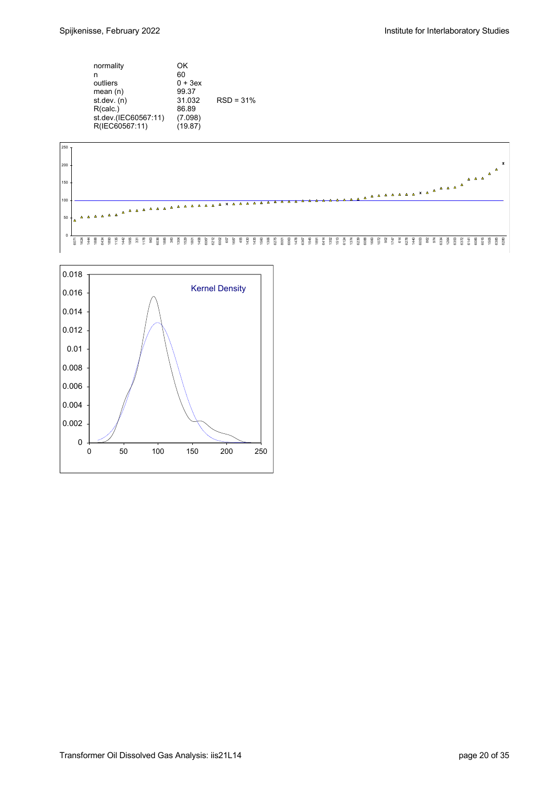| normality<br>n<br>outliers<br>mean $(n)$<br>st. dev. (n)<br>R(calc.)<br>st.dev.(IEC60567:11)<br>R(IEC60567:11) | OK<br>60<br>$0 + 3ex$<br>99.37<br>31.032<br>86.89<br>(7.098)<br>(19.87) | $RSD = 31%$ |
|----------------------------------------------------------------------------------------------------------------|-------------------------------------------------------------------------|-------------|
|----------------------------------------------------------------------------------------------------------------|-------------------------------------------------------------------------|-------------|



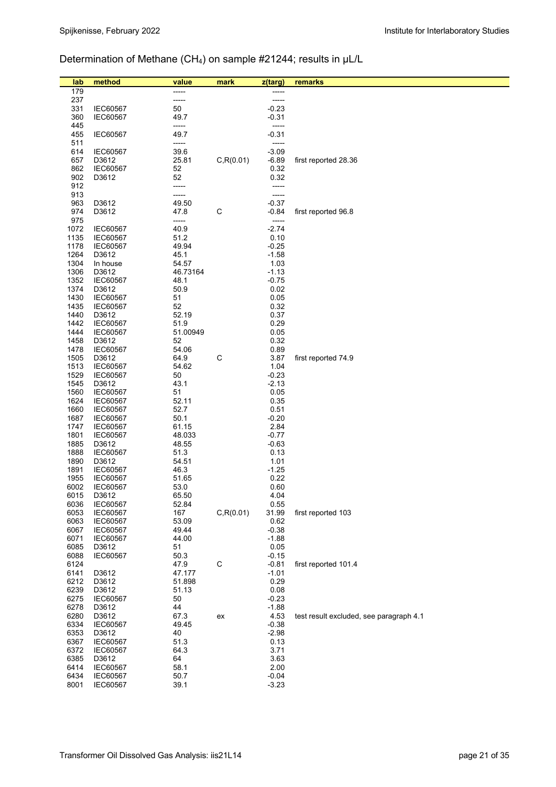# Determination of Methane (CH4) on sample #21244; results in µL/L

| lab          | method                             | value          | mark         | z(targ)            | remarks                                 |
|--------------|------------------------------------|----------------|--------------|--------------------|-----------------------------------------|
| 179          |                                    |                |              |                    |                                         |
| 237          |                                    | -----          |              | -----              |                                         |
| 331          | <b>IEC60567</b>                    | 50             |              | $-0.23$            |                                         |
| 360          | <b>IEC60567</b>                    | 49.7           |              | $-0.31$            |                                         |
| 445          |                                    | -----          |              | -----              |                                         |
| 455          | IEC60567                           | 49.7           |              | $-0.31$            |                                         |
| 511          |                                    | -----          |              | -----              |                                         |
| 614          | IEC60567                           | 39.6           |              | $-3.09$            |                                         |
| 657          | D3612                              | 25.81          | C, R(0.01)   | $-6.89$            | first reported 28.36                    |
| 862          | <b>IEC60567</b>                    | 52             |              | 0.32               |                                         |
| 902          | D3612                              | 52             |              | 0.32               |                                         |
| 912<br>913   |                                    | -----<br>----- |              | -----<br>-----     |                                         |
| 963          | D3612                              | 49.50          |              | $-0.37$            |                                         |
| 974          | D3612                              | 47.8           | $\mathsf C$  | $-0.84$            | first reported 96.8                     |
| 975          |                                    | -----          |              | -----              |                                         |
| 1072         | <b>IEC60567</b>                    | 40.9           |              | $-2.74$            |                                         |
| 1135         | <b>IEC60567</b>                    | 51.2           |              | 0.10               |                                         |
| 1178         | <b>IEC60567</b>                    | 49.94          |              | $-0.25$            |                                         |
| 1264         | D3612                              | 45.1           |              | $-1.58$            |                                         |
| 1304         | In house                           | 54.57          |              | 1.03               |                                         |
| 1306         | D3612                              | 46.73164       |              | $-1.13$            |                                         |
| 1352         | IEC60567                           | 48.1           |              | $-0.75$            |                                         |
| 1374         | D3612                              | 50.9           |              | 0.02               |                                         |
| 1430         | <b>IEC60567</b>                    | 51             |              | 0.05               |                                         |
| 1435<br>1440 | <b>IEC60567</b>                    | 52<br>52.19    |              | 0.32<br>0.37       |                                         |
| 1442         | D3612<br><b>IEC60567</b>           | 51.9           |              | 0.29               |                                         |
| 1444         | <b>IEC60567</b>                    | 51.00949       |              | 0.05               |                                         |
| 1458         | D3612                              | 52             |              | 0.32               |                                         |
| 1478         | <b>IEC60567</b>                    | 54.06          |              | 0.89               |                                         |
| 1505         | D3612                              | 64.9           | C            | 3.87               | first reported 74.9                     |
| 1513         | <b>IEC60567</b>                    | 54.62          |              | 1.04               |                                         |
| 1529         | <b>IEC60567</b>                    | 50             |              | $-0.23$            |                                         |
| 1545         | D3612                              | 43.1           |              | $-2.13$            |                                         |
| 1560         | <b>IEC60567</b>                    | 51             |              | 0.05               |                                         |
| 1624         | <b>IEC60567</b>                    | 52.11          |              | 0.35               |                                         |
| 1660         | <b>IEC60567</b>                    | 52.7           |              | 0.51               |                                         |
| 1687<br>1747 | <b>IEC60567</b>                    | 50.1<br>61.15  |              | $-0.20$<br>2.84    |                                         |
| 1801         | <b>IEC60567</b><br><b>IEC60567</b> | 48.033         |              | $-0.77$            |                                         |
| 1885         | D3612                              | 48.55          |              | $-0.63$            |                                         |
| 1888         | <b>IEC60567</b>                    | 51.3           |              | 0.13               |                                         |
| 1890         | D3612                              | 54.51          |              | 1.01               |                                         |
| 1891         | IEC60567                           | 46.3           |              | $-1.25$            |                                         |
| 1955         | <b>IEC60567</b>                    | 51.65          |              | 0.22               |                                         |
| 6002         | <b>IEC60567</b>                    | 53.0           |              | 0.60               |                                         |
| 6015         | D3612                              | 65.50          |              | 4.04               |                                         |
| 6036         | <b>IEC60567</b>                    | 52.84          |              | 0.55               |                                         |
| 6053         | <b>IEC60567</b>                    | 167            | C, R(0.01)   | 31.99              | first reported 103                      |
| 6063         | <b>IEC60567</b>                    | 53.09          |              | 0.62               |                                         |
| 6067<br>6071 | <b>IEC60567</b><br><b>IEC60567</b> | 49.44<br>44.00 |              | $-0.38$<br>$-1.88$ |                                         |
| 6085         | D3612                              | 51             |              | 0.05               |                                         |
| 6088         | IEC60567                           | 50.3           |              | $-0.15$            |                                         |
| 6124         |                                    | 47.9           | $\mathsf{C}$ | $-0.81$            | first reported 101.4                    |
| 6141         | D3612                              | 47.177         |              | $-1.01$            |                                         |
| 6212         | D3612                              | 51.898         |              | 0.29               |                                         |
| 6239         | D3612                              | 51.13          |              | 0.08               |                                         |
| 6275         | <b>IEC60567</b>                    | 50             |              | $-0.23$            |                                         |
| 6278         | D3612                              | 44             |              | $-1.88$            |                                         |
| 6280         | D3612                              | 67.3           | ex           | 4.53               | test result excluded, see paragraph 4.1 |
| 6334         | <b>IEC60567</b>                    | 49.45          |              | $-0.38$            |                                         |
| 6353         | D3612                              | 40             |              | $-2.98$            |                                         |
| 6367         | <b>IEC60567</b>                    | 51.3           |              | 0.13               |                                         |
| 6372<br>6385 | <b>IEC60567</b><br>D3612           | 64.3<br>64     |              | 3.71<br>3.63       |                                         |
| 6414         | <b>IEC60567</b>                    | 58.1           |              | 2.00               |                                         |
| 6434         | IEC60567                           | 50.7           |              | $-0.04$            |                                         |
| 8001         | IEC60567                           | 39.1           |              | $-3.23$            |                                         |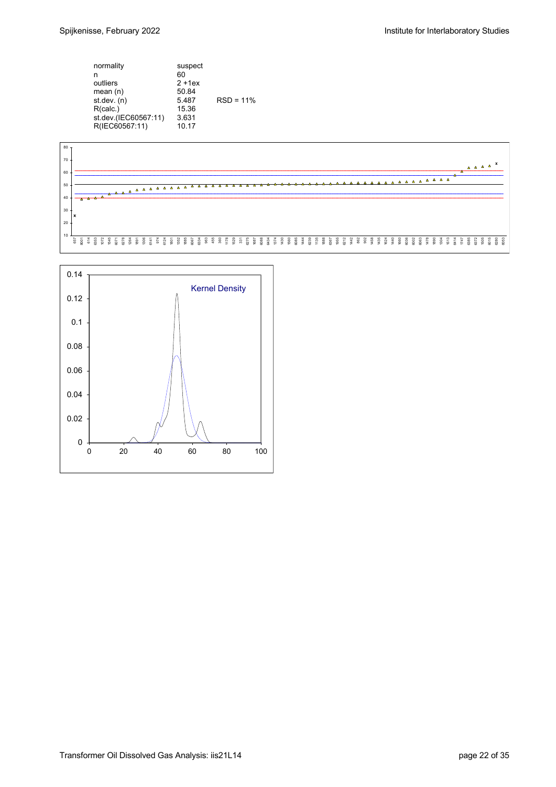| normality<br>n<br>outliers<br>mean $(n)$<br>st.dev. (n)<br>R(calc.)<br>st.dev.(IEC60567:11)<br>R(IEC60567:11) | suspect<br>60<br>$2 + 1ex$<br>50.84<br>5.487<br>15.36<br>3.631<br>10.17 | $RSD = 11%$ |
|---------------------------------------------------------------------------------------------------------------|-------------------------------------------------------------------------|-------------|
|---------------------------------------------------------------------------------------------------------------|-------------------------------------------------------------------------|-------------|



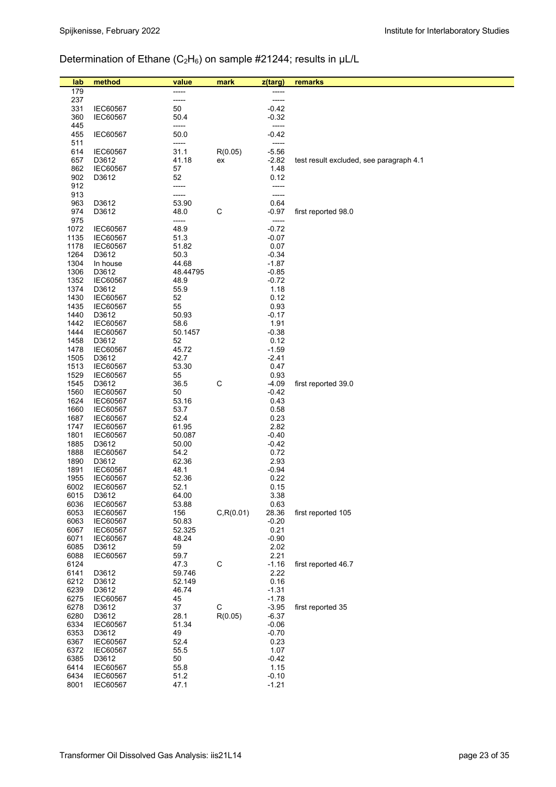# Determination of Ethane ( $C_2H_6$ ) on sample #21244; results in  $\mu$ L/L

| lab<br>179   | method                   | value<br>----- | mark       | z(targ)<br>----- | remarks                                 |
|--------------|--------------------------|----------------|------------|------------------|-----------------------------------------|
| 237          |                          | -----          |            | -----            |                                         |
| 331          | <b>IEC60567</b>          | 50             |            | $-0.42$          |                                         |
| 360          | <b>IEC60567</b>          | 50.4           |            | $-0.32$          |                                         |
| 445          |                          | -----          |            | -----            |                                         |
| 455          | <b>IEC60567</b>          | 50.0           |            | $-0.42$          |                                         |
| 511          |                          | -----          |            | -----            |                                         |
| 614          | <b>IEC60567</b>          | 31.1           | R(0.05)    | $-5.56$          |                                         |
| 657          | D3612                    | 41.18          | ex         | $-2.82$          | test result excluded, see paragraph 4.1 |
| 862          | <b>IEC60567</b>          | 57             |            | 1.48             |                                         |
| 902          | D3612                    | 52             |            | 0.12             |                                         |
| 912<br>913   |                          | -----<br>----- |            | -----<br>-----   |                                         |
| 963          | D3612                    | 53.90          |            | 0.64             |                                         |
| 974          | D3612                    | 48.0           | C          | $-0.97$          | first reported 98.0                     |
| 975          |                          | -----          |            | -----            |                                         |
| 1072         | <b>IEC60567</b>          | 48.9           |            | $-0.72$          |                                         |
| 1135         | <b>IEC60567</b>          | 51.3           |            | $-0.07$          |                                         |
| 1178         | <b>IEC60567</b>          | 51.82          |            | 0.07             |                                         |
| 1264         | D3612                    | 50.3           |            | $-0.34$          |                                         |
| 1304         | In house                 | 44.68          |            | $-1.87$          |                                         |
| 1306         | D3612                    | 48.44795       |            | $-0.85$          |                                         |
| 1352<br>1374 | <b>IEC60567</b><br>D3612 | 48.9<br>55.9   |            | $-0.72$<br>1.18  |                                         |
| 1430         | <b>IEC60567</b>          | 52             |            | 0.12             |                                         |
| 1435         | <b>IEC60567</b>          | 55             |            | 0.93             |                                         |
| 1440         | D3612                    | 50.93          |            | $-0.17$          |                                         |
| 1442         | <b>IEC60567</b>          | 58.6           |            | 1.91             |                                         |
| 1444         | <b>IEC60567</b>          | 50.1457        |            | $-0.38$          |                                         |
| 1458         | D3612                    | 52             |            | 0.12             |                                         |
| 1478         | <b>IEC60567</b>          | 45.72          |            | $-1.59$          |                                         |
| 1505         | D3612                    | 42.7           |            | $-2.41$          |                                         |
| 1513         | <b>IEC60567</b>          | 53.30          |            | 0.47             |                                         |
| 1529<br>1545 | <b>IEC60567</b><br>D3612 | 55<br>36.5     | C          | 0.93<br>$-4.09$  | first reported 39.0                     |
| 1560         | <b>IEC60567</b>          | 50             |            | $-0.42$          |                                         |
| 1624         | <b>IEC60567</b>          | 53.16          |            | 0.43             |                                         |
| 1660         | <b>IEC60567</b>          | 53.7           |            | 0.58             |                                         |
| 1687         | <b>IEC60567</b>          | 52.4           |            | 0.23             |                                         |
| 1747         | <b>IEC60567</b>          | 61.95          |            | 2.82             |                                         |
| 1801         | <b>IEC60567</b>          | 50.087         |            | $-0.40$          |                                         |
| 1885         | D3612                    | 50.00          |            | $-0.42$          |                                         |
| 1888         | <b>IEC60567</b>          | 54.2           |            | 0.72             |                                         |
| 1890<br>1891 | D3612<br><b>IEC60567</b> | 62.36<br>48.1  |            | 2.93<br>$-0.94$  |                                         |
| 1955         | <b>IEC60567</b>          | 52.36          |            | 0.22             |                                         |
| 6002         | IEC60567                 | 52.1           |            | 0.15             |                                         |
| 6015         | D3612                    | 64.00          |            | 3.38             |                                         |
| 6036         | IEC60567                 | 53.88          |            | 0.63             |                                         |
| 6053         | <b>IEC60567</b>          | 156            | C, R(0.01) | 28.36            | first reported 105                      |
| 6063         | <b>IEC60567</b>          | 50.83          |            | $-0.20$          |                                         |
| 6067         | <b>IEC60567</b>          | 52.325         |            | 0.21             |                                         |
| 6071<br>6085 | <b>IEC60567</b>          | 48.24          |            | $-0.90$          |                                         |
| 6088         | D3612<br><b>IEC60567</b> | 59<br>59.7     |            | 2.02<br>2.21     |                                         |
| 6124         |                          | 47.3           | C          | $-1.16$          | first reported 46.7                     |
| 6141         | D3612                    | 59.746         |            | 2.22             |                                         |
| 6212         | D3612                    | 52.149         |            | 0.16             |                                         |
| 6239         | D3612                    | 46.74          |            | $-1.31$          |                                         |
| 6275         | <b>IEC60567</b>          | 45             |            | $-1.78$          |                                         |
| 6278         | D3612                    | 37             | C          | $-3.95$          | first reported 35                       |
| 6280         | D3612                    | 28.1           | R(0.05)    | $-6.37$          |                                         |
| 6334         | <b>IEC60567</b>          | 51.34          |            | $-0.06$          |                                         |
| 6353<br>6367 | D3612<br><b>IEC60567</b> | 49<br>52.4     |            | $-0.70$<br>0.23  |                                         |
| 6372         | <b>IEC60567</b>          | 55.5           |            | 1.07             |                                         |
| 6385         | D3612                    | 50             |            | $-0.42$          |                                         |
| 6414         | <b>IEC60567</b>          | 55.8           |            | 1.15             |                                         |
| 6434         | <b>IEC60567</b>          | 51.2           |            | $-0.10$          |                                         |
| 8001         | IEC60567                 | 47.1           |            | $-1.21$          |                                         |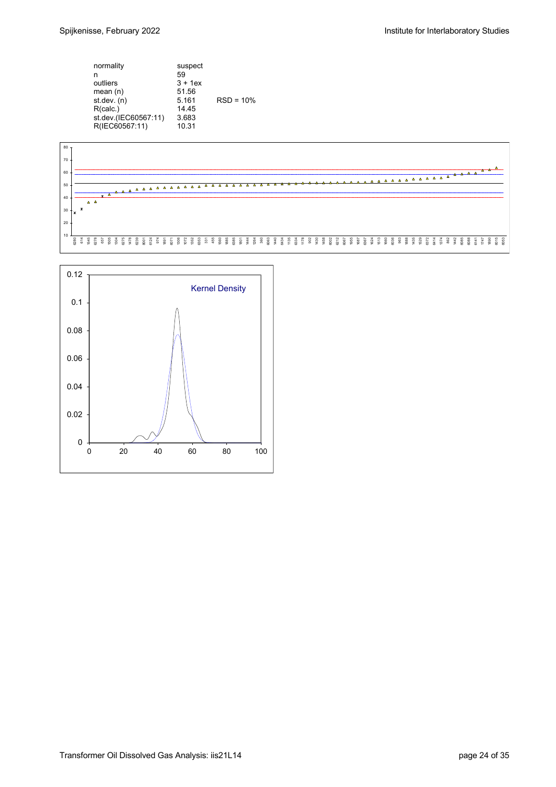| 59<br>n<br>$3 + 1$ ex<br>outliers<br>mean $(n)$<br>51.56<br>st.dev. (n)<br>5.161<br>R(calc.)<br>14 45<br>st.dev.(IEC60567:11)<br>3.683<br>R(IEC60567:11)<br>10.31 |  | normality | suspect | $RSD = 10%$ |
|-------------------------------------------------------------------------------------------------------------------------------------------------------------------|--|-----------|---------|-------------|
|-------------------------------------------------------------------------------------------------------------------------------------------------------------------|--|-----------|---------|-------------|



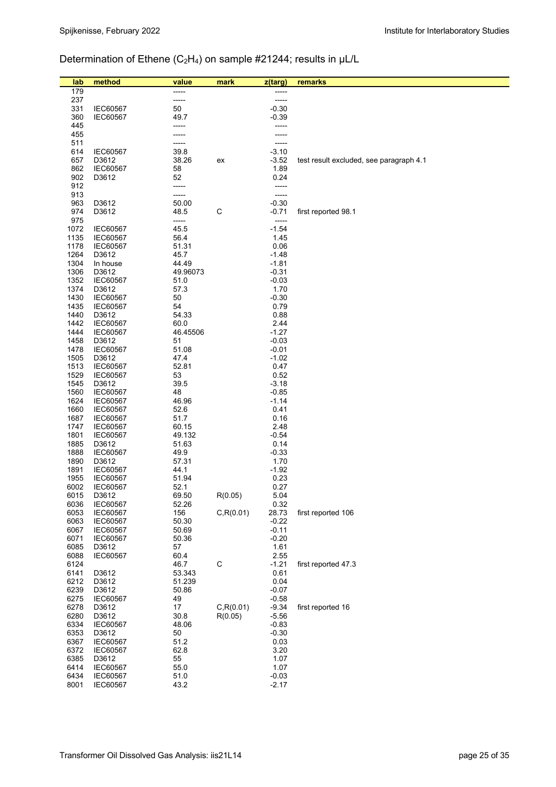# Determination of Ethene (C<sub>2</sub>H<sub>4</sub>) on sample #21244; results in µL/L

| lab          | method                             | value         | mark        | z(targ)            | remarks                                 |
|--------------|------------------------------------|---------------|-------------|--------------------|-----------------------------------------|
| 179          |                                    |               |             |                    |                                         |
| 237          |                                    | -----         |             | -----              |                                         |
| 331          | <b>IEC60567</b>                    | 50            |             | $-0.30$            |                                         |
| 360          | <b>IEC60567</b>                    | 49.7          |             | $-0.39$            |                                         |
| 445          |                                    |               |             |                    |                                         |
| 455          |                                    |               |             |                    |                                         |
| 511          |                                    |               |             |                    |                                         |
| 614          | <b>IEC60567</b><br>D3612           | 39.8<br>38.26 |             | $-3.10$<br>$-3.52$ |                                         |
| 657<br>862   | <b>IEC60567</b>                    | 58            | ex          | 1.89               | test result excluded, see paragraph 4.1 |
| 902          | D3612                              | 52            |             | 0.24               |                                         |
| 912          |                                    | -----         |             | -----              |                                         |
| 913          |                                    | -----         |             | -----              |                                         |
| 963          | D3612                              | 50.00         |             | $-0.30$            |                                         |
| 974          | D3612                              | 48.5          | $\mathsf C$ | $-0.71$            | first reported 98.1                     |
| 975          |                                    | -----         |             |                    |                                         |
| 1072<br>1135 | <b>IEC60567</b>                    | 45.5<br>56.4  |             | $-1.54$<br>1.45    |                                         |
| 1178         | <b>IEC60567</b><br><b>IEC60567</b> | 51.31         |             | 0.06               |                                         |
| 1264         | D3612                              | 45.7          |             | $-1.48$            |                                         |
| 1304         | In house                           | 44.49         |             | $-1.81$            |                                         |
| 1306         | D3612                              | 49.96073      |             | $-0.31$            |                                         |
| 1352         | <b>IEC60567</b>                    | 51.0          |             | $-0.03$            |                                         |
| 1374         | D3612                              | 57.3          |             | 1.70               |                                         |
| 1430         | <b>IEC60567</b>                    | 50            |             | $-0.30$            |                                         |
| 1435         | <b>IEC60567</b>                    | 54            |             | 0.79               |                                         |
| 1440<br>1442 | D3612<br><b>IEC60567</b>           | 54.33<br>60.0 |             | 0.88<br>2.44       |                                         |
| 1444         | <b>IEC60567</b>                    | 46.45506      |             | $-1.27$            |                                         |
| 1458         | D3612                              | 51            |             | $-0.03$            |                                         |
| 1478         | <b>IEC60567</b>                    | 51.08         |             | $-0.01$            |                                         |
| 1505         | D3612                              | 47.4          |             | $-1.02$            |                                         |
| 1513         | <b>IEC60567</b>                    | 52.81         |             | 0.47               |                                         |
| 1529         | <b>IEC60567</b>                    | 53            |             | 0.52               |                                         |
| 1545         | D3612                              | 39.5          |             | $-3.18$            |                                         |
| 1560<br>1624 | <b>IEC60567</b>                    | 48<br>46.96   |             | $-0.85$<br>$-1.14$ |                                         |
| 1660         | <b>IEC60567</b><br><b>IEC60567</b> | 52.6          |             | 0.41               |                                         |
| 1687         | <b>IEC60567</b>                    | 51.7          |             | 0.16               |                                         |
| 1747         | <b>IEC60567</b>                    | 60.15         |             | 2.48               |                                         |
| 1801         | <b>IEC60567</b>                    | 49.132        |             | $-0.54$            |                                         |
| 1885         | D3612                              | 51.63         |             | 0.14               |                                         |
| 1888         | <b>IEC60567</b>                    | 49.9          |             | $-0.33$            |                                         |
| 1890         | D3612                              | 57.31         |             | 1.70               |                                         |
| 1891<br>1955 | <b>IEC60567</b><br><b>IEC60567</b> | 44.1<br>51.94 |             | $-1.92$<br>0.23    |                                         |
| 6002         | <b>IEC60567</b>                    | 52.1          |             | 0.27               |                                         |
| 6015         | D3612                              | 69.50         | R(0.05)     | 5.04               |                                         |
| 6036         | <b>IEC60567</b>                    | 52.26         |             | 0.32               |                                         |
| 6053         | <b>IEC60567</b>                    | 156           | C, R(0.01)  | 28.73              | first reported 106                      |
| 6063         | <b>IEC60567</b>                    | 50.30         |             | $-0.22$            |                                         |
| 6067         | <b>IEC60567</b>                    | 50.69         |             | $-0.11$            |                                         |
| 6071         | <b>IEC60567</b>                    | 50.36         |             | $-0.20$            |                                         |
| 6085         | D3612                              | 57            |             | 1.61               |                                         |
| 6088<br>6124 | IEC60567                           | 60.4<br>46.7  | $\mathsf C$ | 2.55<br>$-1.21$    | first reported 47.3                     |
| 6141         | D3612                              | 53.343        |             | 0.61               |                                         |
| 6212         | D3612                              | 51.239        |             | 0.04               |                                         |
| 6239         | D3612                              | 50.86         |             | $-0.07$            |                                         |
| 6275         | <b>IEC60567</b>                    | 49            |             | $-0.58$            |                                         |
| 6278         | D3612                              | 17            | C, R(0.01)  | $-9.34$            | first reported 16                       |
| 6280         | D3612                              | 30.8          | R(0.05)     | $-5.56$            |                                         |
| 6334<br>6353 | <b>IEC60567</b><br>D3612           | 48.06<br>50   |             | $-0.83$<br>$-0.30$ |                                         |
| 6367         | <b>IEC60567</b>                    | 51.2          |             | 0.03               |                                         |
| 6372         | IEC60567                           | 62.8          |             | 3.20               |                                         |
| 6385         | D3612                              | 55            |             | 1.07               |                                         |
| 6414         | <b>IEC60567</b>                    | 55.0          |             | 1.07               |                                         |
| 6434         | IEC60567                           | 51.0          |             | $-0.03$            |                                         |
| 8001         | IEC60567                           | 43.2          |             | $-2.17$            |                                         |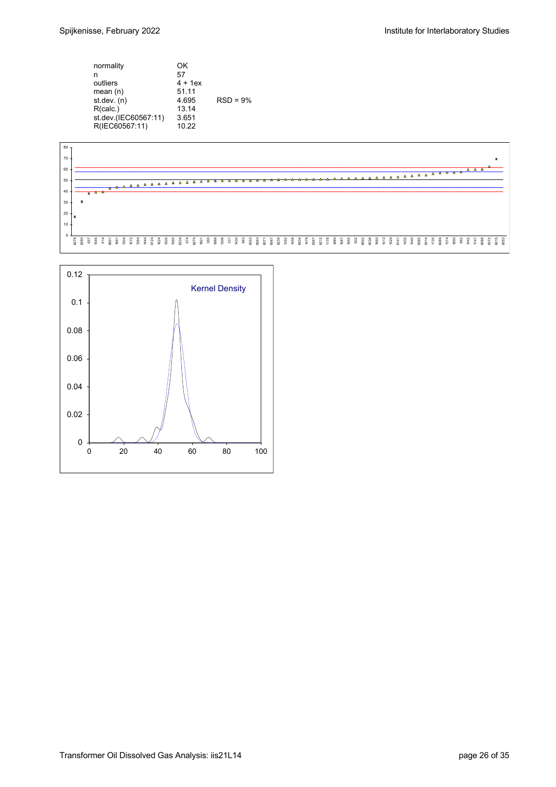

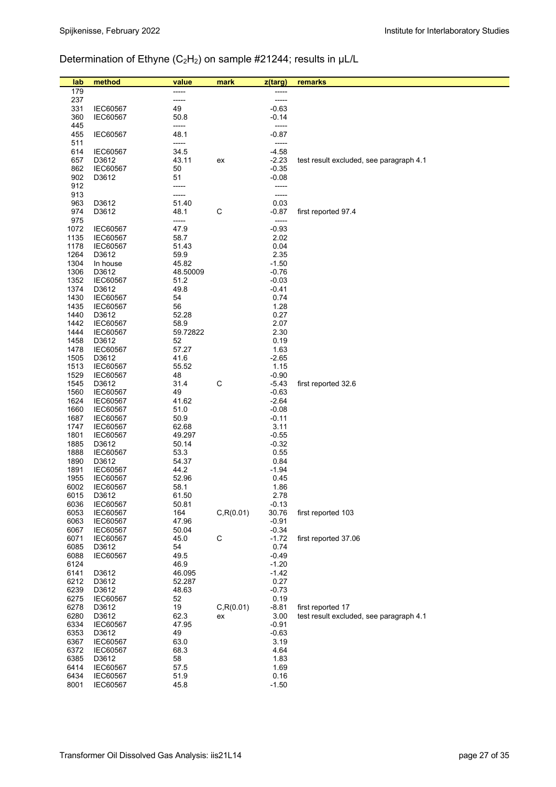# Determination of Ethyne (C<sub>2</sub>H<sub>2</sub>) on sample #21244; results in µL/L

| lab          | method                             | value            | mark        | z(targ)            | remarks                                 |
|--------------|------------------------------------|------------------|-------------|--------------------|-----------------------------------------|
| 179          |                                    |                  |             |                    |                                         |
| 237          |                                    | -----            |             | -----              |                                         |
| 331          | <b>IEC60567</b>                    | 49               |             | $-0.63$            |                                         |
| 360          | <b>IEC60567</b>                    | 50.8             |             | $-0.14$            |                                         |
| 445<br>455   | <b>IEC60567</b>                    | -----<br>48.1    |             | $-0.87$            |                                         |
| 511          |                                    | -----            |             | -----              |                                         |
| 614          | <b>IEC60567</b>                    | 34.5             |             | $-4.58$            |                                         |
| 657          | D3612                              | 43.11            | ex          | $-2.23$            | test result excluded, see paragraph 4.1 |
| 862          | <b>IEC60567</b>                    | 50               |             | $-0.35$            |                                         |
| 902          | D3612                              | 51               |             | $-0.08$            |                                         |
| 912          |                                    | -----            |             |                    |                                         |
| 913<br>963   | D3612                              | -----<br>51.40   |             | -----<br>0.03      |                                         |
| 974          | D3612                              | 48.1             | C           | $-0.87$            | first reported 97.4                     |
| 975          |                                    | -----            |             | -----              |                                         |
| 1072         | <b>IEC60567</b>                    | 47.9             |             | $-0.93$            |                                         |
| 1135         | <b>IEC60567</b>                    | 58.7             |             | 2.02               |                                         |
| 1178         | <b>IEC60567</b>                    | 51.43            |             | 0.04               |                                         |
| 1264<br>1304 | D3612<br>In house                  | 59.9<br>45.82    |             | 2.35<br>$-1.50$    |                                         |
| 1306         | D3612                              | 48.50009         |             | $-0.76$            |                                         |
| 1352         | <b>IEC60567</b>                    | 51.2             |             | $-0.03$            |                                         |
| 1374         | D3612                              | 49.8             |             | $-0.41$            |                                         |
| 1430         | <b>IEC60567</b>                    | 54               |             | 0.74               |                                         |
| 1435         | <b>IEC60567</b>                    | 56               |             | 1.28               |                                         |
| 1440         | D3612                              | 52.28            |             | 0.27               |                                         |
| 1442<br>1444 | IEC60567<br><b>IEC60567</b>        | 58.9<br>59.72822 |             | 2.07<br>2.30       |                                         |
| 1458         | D3612                              | 52               |             | 0.19               |                                         |
| 1478         | <b>IEC60567</b>                    | 57.27            |             | 1.63               |                                         |
| 1505         | D3612                              | 41.6             |             | $-2.65$            |                                         |
| 1513         | <b>IEC60567</b>                    | 55.52            |             | 1.15               |                                         |
| 1529         | <b>IEC60567</b>                    | 48               |             | $-0.90$            |                                         |
| 1545<br>1560 | D3612<br><b>IEC60567</b>           | 31.4<br>49       | $\mathsf C$ | $-5.43$<br>$-0.63$ | first reported 32.6                     |
| 1624         | <b>IEC60567</b>                    | 41.62            |             | $-2.64$            |                                         |
| 1660         | <b>IEC60567</b>                    | 51.0             |             | $-0.08$            |                                         |
| 1687         | <b>IEC60567</b>                    | 50.9             |             | -0.11              |                                         |
| 1747         | <b>IEC60567</b>                    | 62.68            |             | 3.11               |                                         |
| 1801         | <b>IEC60567</b>                    | 49.297           |             | $-0.55$            |                                         |
| 1885<br>1888 | D3612<br><b>IEC60567</b>           | 50.14<br>53.3    |             | $-0.32$<br>0.55    |                                         |
| 1890         | D3612                              | 54.37            |             | 0.84               |                                         |
| 1891         | <b>IEC60567</b>                    | 44.2             |             | $-1.94$            |                                         |
| 1955         | <b>IEC60567</b>                    | 52.96            |             | 0.45               |                                         |
| 6002         | <b>IEC60567</b>                    | 58.1             |             | 1.86               |                                         |
| 6015         | D3612                              | 61.50            |             | 2.78               |                                         |
| 6036<br>6053 | <b>IEC60567</b><br><b>IEC60567</b> | 50.81<br>164     | C, R(0.01)  | $-0.13$<br>30.76   | first reported 103                      |
| 6063         | <b>IEC60567</b>                    | 47.96            |             | $-0.91$            |                                         |
| 6067         | <b>IEC60567</b>                    | 50.04            |             | $-0.34$            |                                         |
| 6071         | <b>IEC60567</b>                    | 45.0             | $\mathsf C$ | $-1.72$            | first reported 37.06                    |
| 6085         | D3612                              | 54               |             | 0.74               |                                         |
| 6088         | <b>IEC60567</b>                    | 49.5             |             | $-0.49$            |                                         |
| 6124<br>6141 | D3612                              | 46.9<br>46.095   |             | $-1.20$<br>$-1.42$ |                                         |
| 6212         | D3612                              | 52.287           |             | 0.27               |                                         |
| 6239         | D3612                              | 48.63            |             | $-0.73$            |                                         |
| 6275         | <b>IEC60567</b>                    | 52               |             | 0.19               |                                         |
| 6278         | D3612                              | 19               | C, R(0.01)  | $-8.81$            | first reported 17                       |
| 6280         | D3612                              | 62.3             | ex          | 3.00               | test result excluded, see paragraph 4.1 |
| 6334         | <b>IEC60567</b>                    | 47.95<br>49      |             | $-0.91$            |                                         |
| 6353<br>6367 | D3612<br><b>IEC60567</b>           | 63.0             |             | $-0.63$<br>3.19    |                                         |
| 6372         | <b>IEC60567</b>                    | 68.3             |             | 4.64               |                                         |
| 6385         | D3612                              | 58               |             | 1.83               |                                         |
| 6414         | <b>IEC60567</b>                    | 57.5             |             | 1.69               |                                         |
| 6434         | <b>IEC60567</b>                    | 51.9             |             | 0.16               |                                         |
| 8001         | <b>IEC60567</b>                    | 45.8             |             | $-1.50$            |                                         |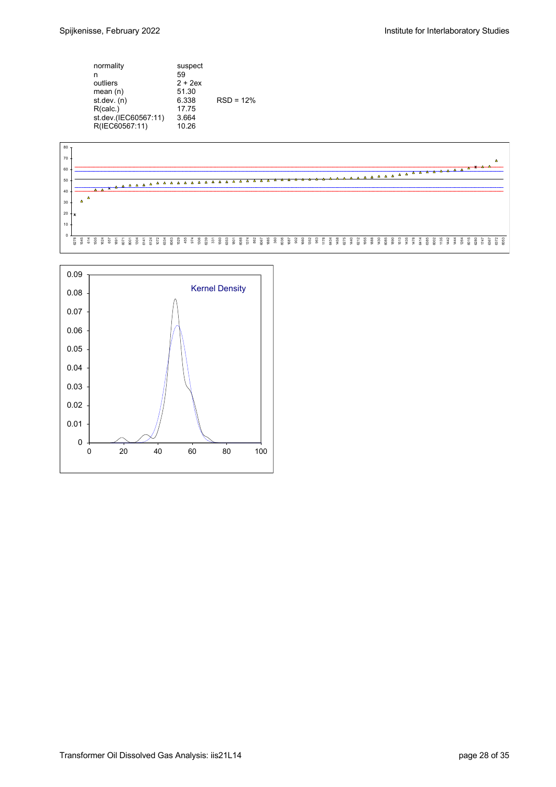| normality<br>n<br>outliers<br>mean $(n)$<br>st.dev. (n)<br>R(calc.)<br>st.dev.(IEC60567:11)<br>R(IEC60567:11) | suspect<br>59<br>$2 + 2ex$<br>51.30<br>6.338<br>17.75<br>3.664<br>10.26 | $RSD = 12%$ |
|---------------------------------------------------------------------------------------------------------------|-------------------------------------------------------------------------|-------------|
|                                                                                                               |                                                                         |             |



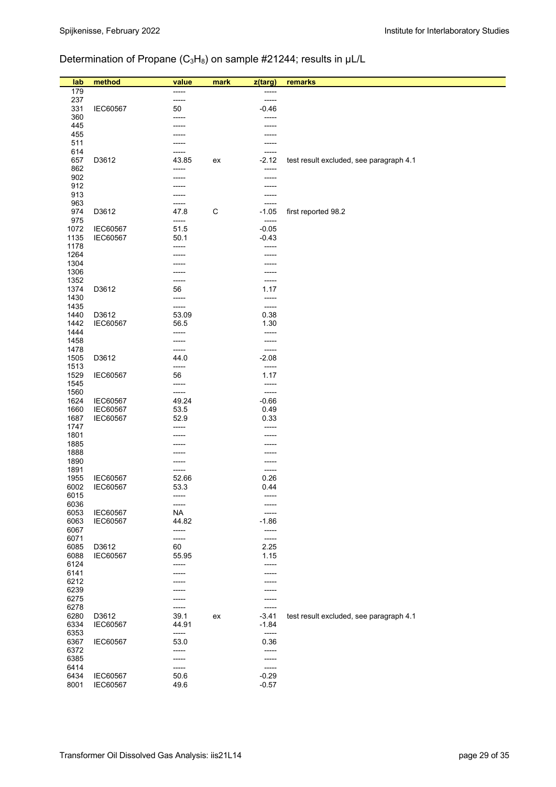# Determination of Propane (C<sub>3</sub>H<sub>8</sub>) on sample #21244; results in µL/L

| lab          | method                      | value              | mark        | z(targ)          | remarks                                 |
|--------------|-----------------------------|--------------------|-------------|------------------|-----------------------------------------|
| 179          |                             |                    |             |                  |                                         |
| 237          |                             | -----              |             | -----            |                                         |
| 331          | IEC60567                    | 50                 |             | $-0.46$          |                                         |
| 360<br>445   |                             | -----              |             | -----            |                                         |
| 455          |                             |                    |             |                  |                                         |
| 511          |                             |                    |             |                  |                                         |
| 614          |                             |                    |             | -----            |                                         |
| 657          | D3612                       | 43.85              | ex          | $-2.12$          | test result excluded, see paragraph 4.1 |
| 862<br>902   |                             | -----              |             | -----            |                                         |
| 912          |                             |                    |             |                  |                                         |
| 913          |                             |                    |             |                  |                                         |
| 963          |                             | -----              |             | -----            |                                         |
| 974          | D3612                       | 47.8               | $\mathsf C$ | $-1.05$          | first reported 98.2                     |
| 975<br>1072  | <b>IEC60567</b>             | -----<br>51.5      |             | -----<br>$-0.05$ |                                         |
| 1135         | IEC60567                    | 50.1               |             | $-0.43$          |                                         |
| 1178         |                             | -----              |             | -----            |                                         |
| 1264         |                             |                    |             |                  |                                         |
| 1304<br>1306 |                             |                    |             |                  |                                         |
| 1352         |                             | -----              |             | -----            |                                         |
| 1374         | D3612                       | 56                 |             | 1.17             |                                         |
| 1430         |                             | -----              |             | -----            |                                         |
| 1435         |                             | -----              |             | -----            |                                         |
| 1440<br>1442 | D3612<br>IEC60567           | 53.09<br>56.5      |             | 0.38<br>1.30     |                                         |
| 1444         |                             | -----              |             | -----            |                                         |
| 1458         |                             | -----              |             | -----            |                                         |
| 1478         |                             | -----              |             | -----            |                                         |
| 1505         | D3612                       | 44.0               |             | $-2.08$          |                                         |
| 1513<br>1529 | IEC60567                    | -----<br>56        |             | -----<br>1.17    |                                         |
| 1545         |                             | -----              |             | -----            |                                         |
| 1560         |                             | -----              |             | -----            |                                         |
| 1624         | <b>IEC60567</b>             | 49.24              |             | $-0.66$          |                                         |
| 1660<br>1687 | IEC60567<br><b>IEC60567</b> | 53.5<br>52.9       |             | 0.49<br>0.33     |                                         |
| 1747         |                             | -----              |             | -----            |                                         |
| 1801         |                             |                    |             |                  |                                         |
| 1885         |                             |                    |             |                  |                                         |
| 1888         |                             |                    |             |                  |                                         |
| 1890<br>1891 |                             |                    |             | -----            |                                         |
| 1955         | IEC60567                    | 52.66              |             | 0.26             |                                         |
| 6002         | IEC60567                    | 53.3               |             | 0.44             |                                         |
| 6015         |                             | -----              |             |                  |                                         |
| 6036<br>6053 | <b>IEC60567</b>             | -----<br><b>NA</b> |             |                  |                                         |
| 6063         | IEC60567                    | 44.82              |             | $-1.86$          |                                         |
| 6067         |                             | -----              |             | -----            |                                         |
| 6071         |                             | -----              |             | -----            |                                         |
| 6085         | D3612                       | 60                 |             | 2.25             |                                         |
| 6088<br>6124 | IEC60567                    | 55.95<br>-----     |             | 1.15<br>-----    |                                         |
| 6141         |                             |                    |             |                  |                                         |
| 6212         |                             |                    |             |                  |                                         |
| 6239         |                             |                    |             |                  |                                         |
| 6275<br>6278 |                             |                    |             | -----            |                                         |
| 6280         | D3612                       | -----<br>39.1      | ex          | $-3.41$          | test result excluded, see paragraph 4.1 |
| 6334         | IEC60567                    | 44.91              |             | $-1.84$          |                                         |
| 6353         |                             | -----              |             | -----            |                                         |
| 6367         | <b>IEC60567</b>             | 53.0               |             | 0.36             |                                         |
| 6372<br>6385 |                             | -----<br>-----     |             | -----<br>-----   |                                         |
| 6414         |                             | -----              |             | -----            |                                         |
| 6434         | <b>IEC60567</b>             | 50.6               |             | $-0.29$          |                                         |
| 8001         | <b>IEC60567</b>             | 49.6               |             | $-0.57$          |                                         |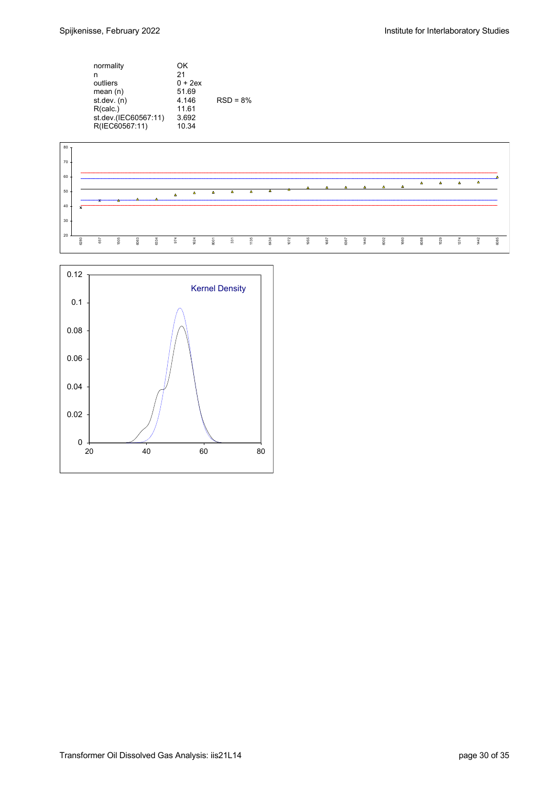| normality<br>n<br>outliers<br>mean $(n)$<br>st. dev. (n)<br>R(calc.)<br>st.dev.(IEC60567:11)<br>R(IEC60567:11) | OΚ<br>21<br>$0 + 2ex$<br>51.69<br>4 1 4 6<br>11.61<br>3.692<br>10.34 | $RSD = 8%$ |
|----------------------------------------------------------------------------------------------------------------|----------------------------------------------------------------------|------------|
|                                                                                                                |                                                                      |            |



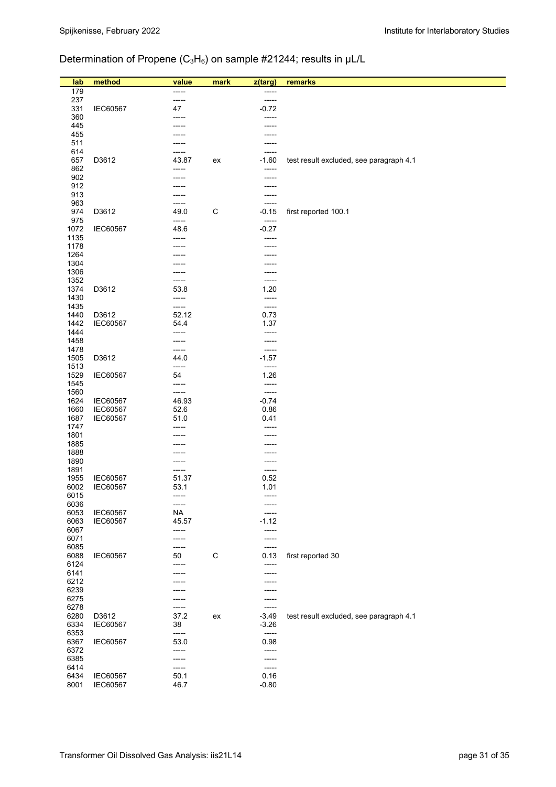# Determination of Propene (C<sub>3</sub>H<sub>6</sub>) on sample #21244; results in µL/L

| 179<br>-----<br>237<br>-----<br>-----<br>331<br>$-0.72$<br>IEC60567<br>47<br>360<br>-----<br>-----<br>445<br>455<br>511<br>614<br>-----<br>-----<br>D3612<br>657<br>43.87<br>$-1.60$<br>test result excluded, see paragraph 4.1<br>ex<br>862<br>902<br>912<br>913<br>963<br>-----<br>-----<br>$\mathsf C$<br>974<br>D3612<br>49.0<br>$-0.15$<br>first reported 100.1<br>975<br>-----<br>-----<br>IEC60567<br>$-0.27$<br>1072<br>48.6<br>1135<br>-----<br>-----<br>1178<br>1264<br>1304<br>1306<br>1352<br>-----<br>-----<br>1374<br>D3612<br>53.8<br>1.20<br>1430<br>-----<br>-----<br>1435<br>-----<br>-----<br>1440<br>D3612<br>52.12<br>0.73<br>1442<br>IEC60567<br>1.37<br>54.4<br>1444<br>-----<br>-----<br>1458<br>-----<br>1478<br>-----<br>-----<br>D3612<br>1505<br>44.0<br>$-1.57$<br>1513<br>-----<br>-----<br>1529<br>IEC60567<br>54<br>1.26<br>1545<br>-----<br>-----<br>1560<br>-----<br>-----<br>IEC60567<br>$-0.74$<br>1624<br>46.93<br>1660<br>0.86<br>IEC60567<br>52.6<br>1687<br>IEC60567<br>0.41<br>51.0<br>1747<br>-----<br>1801<br>1885<br>1888<br>1890<br>1891<br>-----<br>1955<br>IEC60567<br>51.37<br>0.52<br>6002<br>IEC60567<br>53.1<br>1.01<br>6015<br>-----<br>6036<br>-----<br>6053<br>IEC60567<br><b>NA</b><br>6063<br>IEC60567<br>45.57<br>$-1.12$<br>6067<br>-----<br>-----<br>6071<br>-----<br>-----<br>6085<br>-----<br>-----<br>6088<br>IEC60567<br>$\mathsf C$<br>0.13<br>first reported 30<br>50<br>6124<br>------<br>-----<br>6141<br>-----<br>6212<br>6239<br>6275<br>6278<br>-----<br>-----<br>6280<br>D3612<br>37.2<br>$-3.49$<br>test result excluded, see paragraph 4.1<br>ex<br>6334<br>IEC60567<br>38<br>$-3.26$<br>6353<br>$-----$<br>-----<br>6367<br>IEC60567<br>0.98<br>53.0<br>6372<br>-----<br>-----<br>6385<br>-----<br>----- | lab | method | value | mark | z(targ) | remarks |
|------------------------------------------------------------------------------------------------------------------------------------------------------------------------------------------------------------------------------------------------------------------------------------------------------------------------------------------------------------------------------------------------------------------------------------------------------------------------------------------------------------------------------------------------------------------------------------------------------------------------------------------------------------------------------------------------------------------------------------------------------------------------------------------------------------------------------------------------------------------------------------------------------------------------------------------------------------------------------------------------------------------------------------------------------------------------------------------------------------------------------------------------------------------------------------------------------------------------------------------------------------------------------------------------------------------------------------------------------------------------------------------------------------------------------------------------------------------------------------------------------------------------------------------------------------------------------------------------------------------------------------------------------------------------------------------------------------------------------------------------------------------------------------|-----|--------|-------|------|---------|---------|
|                                                                                                                                                                                                                                                                                                                                                                                                                                                                                                                                                                                                                                                                                                                                                                                                                                                                                                                                                                                                                                                                                                                                                                                                                                                                                                                                                                                                                                                                                                                                                                                                                                                                                                                                                                                    |     |        |       |      |         |         |
|                                                                                                                                                                                                                                                                                                                                                                                                                                                                                                                                                                                                                                                                                                                                                                                                                                                                                                                                                                                                                                                                                                                                                                                                                                                                                                                                                                                                                                                                                                                                                                                                                                                                                                                                                                                    |     |        |       |      |         |         |
|                                                                                                                                                                                                                                                                                                                                                                                                                                                                                                                                                                                                                                                                                                                                                                                                                                                                                                                                                                                                                                                                                                                                                                                                                                                                                                                                                                                                                                                                                                                                                                                                                                                                                                                                                                                    |     |        |       |      |         |         |
|                                                                                                                                                                                                                                                                                                                                                                                                                                                                                                                                                                                                                                                                                                                                                                                                                                                                                                                                                                                                                                                                                                                                                                                                                                                                                                                                                                                                                                                                                                                                                                                                                                                                                                                                                                                    |     |        |       |      |         |         |
|                                                                                                                                                                                                                                                                                                                                                                                                                                                                                                                                                                                                                                                                                                                                                                                                                                                                                                                                                                                                                                                                                                                                                                                                                                                                                                                                                                                                                                                                                                                                                                                                                                                                                                                                                                                    |     |        |       |      |         |         |
|                                                                                                                                                                                                                                                                                                                                                                                                                                                                                                                                                                                                                                                                                                                                                                                                                                                                                                                                                                                                                                                                                                                                                                                                                                                                                                                                                                                                                                                                                                                                                                                                                                                                                                                                                                                    |     |        |       |      |         |         |
|                                                                                                                                                                                                                                                                                                                                                                                                                                                                                                                                                                                                                                                                                                                                                                                                                                                                                                                                                                                                                                                                                                                                                                                                                                                                                                                                                                                                                                                                                                                                                                                                                                                                                                                                                                                    |     |        |       |      |         |         |
|                                                                                                                                                                                                                                                                                                                                                                                                                                                                                                                                                                                                                                                                                                                                                                                                                                                                                                                                                                                                                                                                                                                                                                                                                                                                                                                                                                                                                                                                                                                                                                                                                                                                                                                                                                                    |     |        |       |      |         |         |
|                                                                                                                                                                                                                                                                                                                                                                                                                                                                                                                                                                                                                                                                                                                                                                                                                                                                                                                                                                                                                                                                                                                                                                                                                                                                                                                                                                                                                                                                                                                                                                                                                                                                                                                                                                                    |     |        |       |      |         |         |
|                                                                                                                                                                                                                                                                                                                                                                                                                                                                                                                                                                                                                                                                                                                                                                                                                                                                                                                                                                                                                                                                                                                                                                                                                                                                                                                                                                                                                                                                                                                                                                                                                                                                                                                                                                                    |     |        |       |      |         |         |
|                                                                                                                                                                                                                                                                                                                                                                                                                                                                                                                                                                                                                                                                                                                                                                                                                                                                                                                                                                                                                                                                                                                                                                                                                                                                                                                                                                                                                                                                                                                                                                                                                                                                                                                                                                                    |     |        |       |      |         |         |
|                                                                                                                                                                                                                                                                                                                                                                                                                                                                                                                                                                                                                                                                                                                                                                                                                                                                                                                                                                                                                                                                                                                                                                                                                                                                                                                                                                                                                                                                                                                                                                                                                                                                                                                                                                                    |     |        |       |      |         |         |
|                                                                                                                                                                                                                                                                                                                                                                                                                                                                                                                                                                                                                                                                                                                                                                                                                                                                                                                                                                                                                                                                                                                                                                                                                                                                                                                                                                                                                                                                                                                                                                                                                                                                                                                                                                                    |     |        |       |      |         |         |
|                                                                                                                                                                                                                                                                                                                                                                                                                                                                                                                                                                                                                                                                                                                                                                                                                                                                                                                                                                                                                                                                                                                                                                                                                                                                                                                                                                                                                                                                                                                                                                                                                                                                                                                                                                                    |     |        |       |      |         |         |
|                                                                                                                                                                                                                                                                                                                                                                                                                                                                                                                                                                                                                                                                                                                                                                                                                                                                                                                                                                                                                                                                                                                                                                                                                                                                                                                                                                                                                                                                                                                                                                                                                                                                                                                                                                                    |     |        |       |      |         |         |
|                                                                                                                                                                                                                                                                                                                                                                                                                                                                                                                                                                                                                                                                                                                                                                                                                                                                                                                                                                                                                                                                                                                                                                                                                                                                                                                                                                                                                                                                                                                                                                                                                                                                                                                                                                                    |     |        |       |      |         |         |
|                                                                                                                                                                                                                                                                                                                                                                                                                                                                                                                                                                                                                                                                                                                                                                                                                                                                                                                                                                                                                                                                                                                                                                                                                                                                                                                                                                                                                                                                                                                                                                                                                                                                                                                                                                                    |     |        |       |      |         |         |
|                                                                                                                                                                                                                                                                                                                                                                                                                                                                                                                                                                                                                                                                                                                                                                                                                                                                                                                                                                                                                                                                                                                                                                                                                                                                                                                                                                                                                                                                                                                                                                                                                                                                                                                                                                                    |     |        |       |      |         |         |
|                                                                                                                                                                                                                                                                                                                                                                                                                                                                                                                                                                                                                                                                                                                                                                                                                                                                                                                                                                                                                                                                                                                                                                                                                                                                                                                                                                                                                                                                                                                                                                                                                                                                                                                                                                                    |     |        |       |      |         |         |
|                                                                                                                                                                                                                                                                                                                                                                                                                                                                                                                                                                                                                                                                                                                                                                                                                                                                                                                                                                                                                                                                                                                                                                                                                                                                                                                                                                                                                                                                                                                                                                                                                                                                                                                                                                                    |     |        |       |      |         |         |
|                                                                                                                                                                                                                                                                                                                                                                                                                                                                                                                                                                                                                                                                                                                                                                                                                                                                                                                                                                                                                                                                                                                                                                                                                                                                                                                                                                                                                                                                                                                                                                                                                                                                                                                                                                                    |     |        |       |      |         |         |
|                                                                                                                                                                                                                                                                                                                                                                                                                                                                                                                                                                                                                                                                                                                                                                                                                                                                                                                                                                                                                                                                                                                                                                                                                                                                                                                                                                                                                                                                                                                                                                                                                                                                                                                                                                                    |     |        |       |      |         |         |
|                                                                                                                                                                                                                                                                                                                                                                                                                                                                                                                                                                                                                                                                                                                                                                                                                                                                                                                                                                                                                                                                                                                                                                                                                                                                                                                                                                                                                                                                                                                                                                                                                                                                                                                                                                                    |     |        |       |      |         |         |
|                                                                                                                                                                                                                                                                                                                                                                                                                                                                                                                                                                                                                                                                                                                                                                                                                                                                                                                                                                                                                                                                                                                                                                                                                                                                                                                                                                                                                                                                                                                                                                                                                                                                                                                                                                                    |     |        |       |      |         |         |
|                                                                                                                                                                                                                                                                                                                                                                                                                                                                                                                                                                                                                                                                                                                                                                                                                                                                                                                                                                                                                                                                                                                                                                                                                                                                                                                                                                                                                                                                                                                                                                                                                                                                                                                                                                                    |     |        |       |      |         |         |
|                                                                                                                                                                                                                                                                                                                                                                                                                                                                                                                                                                                                                                                                                                                                                                                                                                                                                                                                                                                                                                                                                                                                                                                                                                                                                                                                                                                                                                                                                                                                                                                                                                                                                                                                                                                    |     |        |       |      |         |         |
|                                                                                                                                                                                                                                                                                                                                                                                                                                                                                                                                                                                                                                                                                                                                                                                                                                                                                                                                                                                                                                                                                                                                                                                                                                                                                                                                                                                                                                                                                                                                                                                                                                                                                                                                                                                    |     |        |       |      |         |         |
|                                                                                                                                                                                                                                                                                                                                                                                                                                                                                                                                                                                                                                                                                                                                                                                                                                                                                                                                                                                                                                                                                                                                                                                                                                                                                                                                                                                                                                                                                                                                                                                                                                                                                                                                                                                    |     |        |       |      |         |         |
|                                                                                                                                                                                                                                                                                                                                                                                                                                                                                                                                                                                                                                                                                                                                                                                                                                                                                                                                                                                                                                                                                                                                                                                                                                                                                                                                                                                                                                                                                                                                                                                                                                                                                                                                                                                    |     |        |       |      |         |         |
|                                                                                                                                                                                                                                                                                                                                                                                                                                                                                                                                                                                                                                                                                                                                                                                                                                                                                                                                                                                                                                                                                                                                                                                                                                                                                                                                                                                                                                                                                                                                                                                                                                                                                                                                                                                    |     |        |       |      |         |         |
|                                                                                                                                                                                                                                                                                                                                                                                                                                                                                                                                                                                                                                                                                                                                                                                                                                                                                                                                                                                                                                                                                                                                                                                                                                                                                                                                                                                                                                                                                                                                                                                                                                                                                                                                                                                    |     |        |       |      |         |         |
|                                                                                                                                                                                                                                                                                                                                                                                                                                                                                                                                                                                                                                                                                                                                                                                                                                                                                                                                                                                                                                                                                                                                                                                                                                                                                                                                                                                                                                                                                                                                                                                                                                                                                                                                                                                    |     |        |       |      |         |         |
|                                                                                                                                                                                                                                                                                                                                                                                                                                                                                                                                                                                                                                                                                                                                                                                                                                                                                                                                                                                                                                                                                                                                                                                                                                                                                                                                                                                                                                                                                                                                                                                                                                                                                                                                                                                    |     |        |       |      |         |         |
|                                                                                                                                                                                                                                                                                                                                                                                                                                                                                                                                                                                                                                                                                                                                                                                                                                                                                                                                                                                                                                                                                                                                                                                                                                                                                                                                                                                                                                                                                                                                                                                                                                                                                                                                                                                    |     |        |       |      |         |         |
|                                                                                                                                                                                                                                                                                                                                                                                                                                                                                                                                                                                                                                                                                                                                                                                                                                                                                                                                                                                                                                                                                                                                                                                                                                                                                                                                                                                                                                                                                                                                                                                                                                                                                                                                                                                    |     |        |       |      |         |         |
|                                                                                                                                                                                                                                                                                                                                                                                                                                                                                                                                                                                                                                                                                                                                                                                                                                                                                                                                                                                                                                                                                                                                                                                                                                                                                                                                                                                                                                                                                                                                                                                                                                                                                                                                                                                    |     |        |       |      |         |         |
|                                                                                                                                                                                                                                                                                                                                                                                                                                                                                                                                                                                                                                                                                                                                                                                                                                                                                                                                                                                                                                                                                                                                                                                                                                                                                                                                                                                                                                                                                                                                                                                                                                                                                                                                                                                    |     |        |       |      |         |         |
|                                                                                                                                                                                                                                                                                                                                                                                                                                                                                                                                                                                                                                                                                                                                                                                                                                                                                                                                                                                                                                                                                                                                                                                                                                                                                                                                                                                                                                                                                                                                                                                                                                                                                                                                                                                    |     |        |       |      |         |         |
|                                                                                                                                                                                                                                                                                                                                                                                                                                                                                                                                                                                                                                                                                                                                                                                                                                                                                                                                                                                                                                                                                                                                                                                                                                                                                                                                                                                                                                                                                                                                                                                                                                                                                                                                                                                    |     |        |       |      |         |         |
|                                                                                                                                                                                                                                                                                                                                                                                                                                                                                                                                                                                                                                                                                                                                                                                                                                                                                                                                                                                                                                                                                                                                                                                                                                                                                                                                                                                                                                                                                                                                                                                                                                                                                                                                                                                    |     |        |       |      |         |         |
|                                                                                                                                                                                                                                                                                                                                                                                                                                                                                                                                                                                                                                                                                                                                                                                                                                                                                                                                                                                                                                                                                                                                                                                                                                                                                                                                                                                                                                                                                                                                                                                                                                                                                                                                                                                    |     |        |       |      |         |         |
|                                                                                                                                                                                                                                                                                                                                                                                                                                                                                                                                                                                                                                                                                                                                                                                                                                                                                                                                                                                                                                                                                                                                                                                                                                                                                                                                                                                                                                                                                                                                                                                                                                                                                                                                                                                    |     |        |       |      |         |         |
|                                                                                                                                                                                                                                                                                                                                                                                                                                                                                                                                                                                                                                                                                                                                                                                                                                                                                                                                                                                                                                                                                                                                                                                                                                                                                                                                                                                                                                                                                                                                                                                                                                                                                                                                                                                    |     |        |       |      |         |         |
|                                                                                                                                                                                                                                                                                                                                                                                                                                                                                                                                                                                                                                                                                                                                                                                                                                                                                                                                                                                                                                                                                                                                                                                                                                                                                                                                                                                                                                                                                                                                                                                                                                                                                                                                                                                    |     |        |       |      |         |         |
|                                                                                                                                                                                                                                                                                                                                                                                                                                                                                                                                                                                                                                                                                                                                                                                                                                                                                                                                                                                                                                                                                                                                                                                                                                                                                                                                                                                                                                                                                                                                                                                                                                                                                                                                                                                    |     |        |       |      |         |         |
|                                                                                                                                                                                                                                                                                                                                                                                                                                                                                                                                                                                                                                                                                                                                                                                                                                                                                                                                                                                                                                                                                                                                                                                                                                                                                                                                                                                                                                                                                                                                                                                                                                                                                                                                                                                    |     |        |       |      |         |         |
|                                                                                                                                                                                                                                                                                                                                                                                                                                                                                                                                                                                                                                                                                                                                                                                                                                                                                                                                                                                                                                                                                                                                                                                                                                                                                                                                                                                                                                                                                                                                                                                                                                                                                                                                                                                    |     |        |       |      |         |         |
|                                                                                                                                                                                                                                                                                                                                                                                                                                                                                                                                                                                                                                                                                                                                                                                                                                                                                                                                                                                                                                                                                                                                                                                                                                                                                                                                                                                                                                                                                                                                                                                                                                                                                                                                                                                    |     |        |       |      |         |         |
|                                                                                                                                                                                                                                                                                                                                                                                                                                                                                                                                                                                                                                                                                                                                                                                                                                                                                                                                                                                                                                                                                                                                                                                                                                                                                                                                                                                                                                                                                                                                                                                                                                                                                                                                                                                    |     |        |       |      |         |         |
|                                                                                                                                                                                                                                                                                                                                                                                                                                                                                                                                                                                                                                                                                                                                                                                                                                                                                                                                                                                                                                                                                                                                                                                                                                                                                                                                                                                                                                                                                                                                                                                                                                                                                                                                                                                    |     |        |       |      |         |         |
|                                                                                                                                                                                                                                                                                                                                                                                                                                                                                                                                                                                                                                                                                                                                                                                                                                                                                                                                                                                                                                                                                                                                                                                                                                                                                                                                                                                                                                                                                                                                                                                                                                                                                                                                                                                    |     |        |       |      |         |         |
|                                                                                                                                                                                                                                                                                                                                                                                                                                                                                                                                                                                                                                                                                                                                                                                                                                                                                                                                                                                                                                                                                                                                                                                                                                                                                                                                                                                                                                                                                                                                                                                                                                                                                                                                                                                    |     |        |       |      |         |         |
|                                                                                                                                                                                                                                                                                                                                                                                                                                                                                                                                                                                                                                                                                                                                                                                                                                                                                                                                                                                                                                                                                                                                                                                                                                                                                                                                                                                                                                                                                                                                                                                                                                                                                                                                                                                    |     |        |       |      |         |         |
|                                                                                                                                                                                                                                                                                                                                                                                                                                                                                                                                                                                                                                                                                                                                                                                                                                                                                                                                                                                                                                                                                                                                                                                                                                                                                                                                                                                                                                                                                                                                                                                                                                                                                                                                                                                    |     |        |       |      |         |         |
|                                                                                                                                                                                                                                                                                                                                                                                                                                                                                                                                                                                                                                                                                                                                                                                                                                                                                                                                                                                                                                                                                                                                                                                                                                                                                                                                                                                                                                                                                                                                                                                                                                                                                                                                                                                    |     |        |       |      |         |         |
|                                                                                                                                                                                                                                                                                                                                                                                                                                                                                                                                                                                                                                                                                                                                                                                                                                                                                                                                                                                                                                                                                                                                                                                                                                                                                                                                                                                                                                                                                                                                                                                                                                                                                                                                                                                    |     |        |       |      |         |         |
|                                                                                                                                                                                                                                                                                                                                                                                                                                                                                                                                                                                                                                                                                                                                                                                                                                                                                                                                                                                                                                                                                                                                                                                                                                                                                                                                                                                                                                                                                                                                                                                                                                                                                                                                                                                    |     |        |       |      |         |         |
|                                                                                                                                                                                                                                                                                                                                                                                                                                                                                                                                                                                                                                                                                                                                                                                                                                                                                                                                                                                                                                                                                                                                                                                                                                                                                                                                                                                                                                                                                                                                                                                                                                                                                                                                                                                    |     |        |       |      |         |         |
| 6414<br>-----<br>-----<br>6434<br>0.16                                                                                                                                                                                                                                                                                                                                                                                                                                                                                                                                                                                                                                                                                                                                                                                                                                                                                                                                                                                                                                                                                                                                                                                                                                                                                                                                                                                                                                                                                                                                                                                                                                                                                                                                             |     |        |       |      |         |         |
| IEC60567<br>50.1<br>8001<br>IEC60567<br>46.7<br>$-0.80$                                                                                                                                                                                                                                                                                                                                                                                                                                                                                                                                                                                                                                                                                                                                                                                                                                                                                                                                                                                                                                                                                                                                                                                                                                                                                                                                                                                                                                                                                                                                                                                                                                                                                                                            |     |        |       |      |         |         |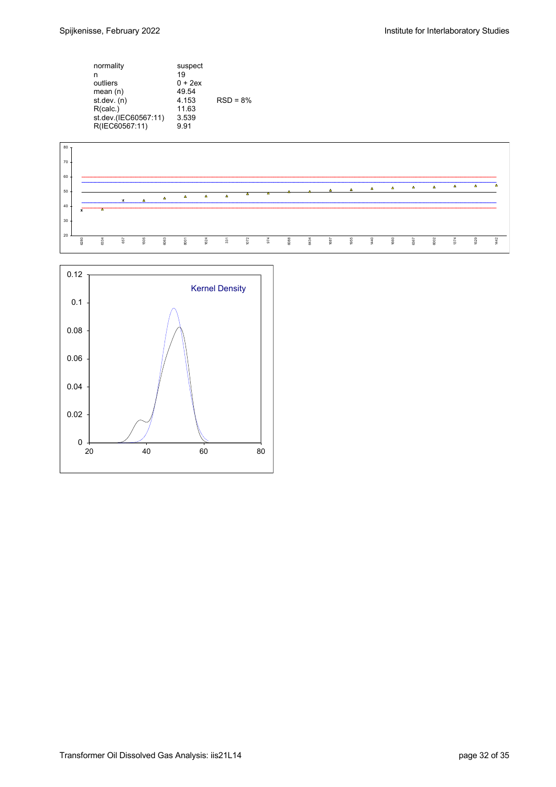| normality<br>n<br>outliers<br>mean $(n)$<br>st. dev. (n)<br>R(calc.)<br>st.dev.(IEC60567:11) | suspect<br>19<br>$0 + 2ex$<br>49.54<br>4.153<br>11.63<br>3.539 | $RSD = 8%$ |
|----------------------------------------------------------------------------------------------|----------------------------------------------------------------|------------|
| R(IEC60567:11)                                                                               | 9.91                                                           |            |
|                                                                                              |                                                                |            |



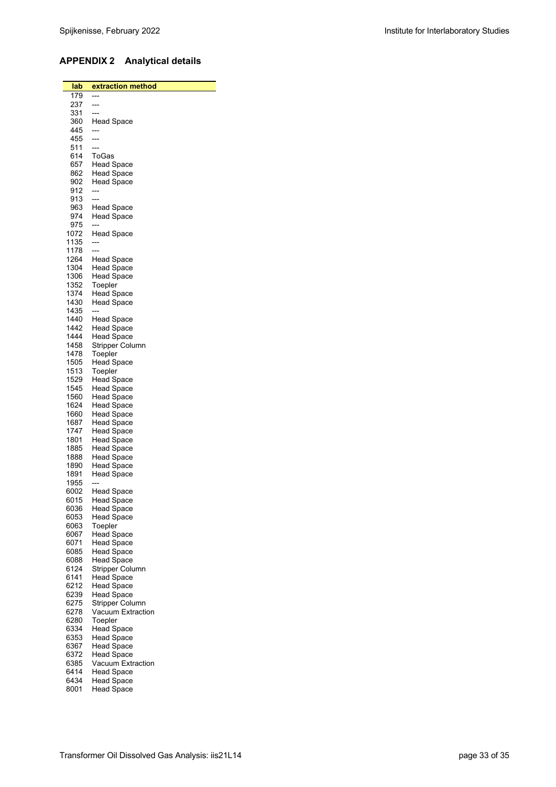## **APPENDIX 2 Analytical details**

| lab<br>179   | <u>extraction method</u>               |
|--------------|----------------------------------------|
| 237          | ---                                    |
| 331          | ---                                    |
| 360          | Head Space                             |
| 445          | ---                                    |
| 455          | ---                                    |
| 511          | ---                                    |
| 614          | ToGas                                  |
| 657          | Head Space                             |
| 862          | <b>Head Space</b>                      |
| 902          | <b>Head Space</b><br>---               |
| 912<br>913   | ---                                    |
| 963          | Head Space                             |
| 974          | <b>Head Space</b>                      |
| 975          | ---                                    |
| 1072         | <b>Head Space</b>                      |
| 1135         | ---                                    |
| 1178         |                                        |
| 1264         | Head Space                             |
| 1304         | <b>Head Space</b>                      |
| 1306<br>1352 | <b>Head Space</b>                      |
| 1374         | Toepler<br><b>Head Space</b>           |
| 1430         | <b>Head Space</b>                      |
| 1435         |                                        |
| 1440         | Head Space                             |
| 1442         | Head Space                             |
| 1444         | Head Space                             |
| 1458         | Stripper Column                        |
| 1478         | Toepler                                |
| 1505         | Head Space                             |
| 1513<br>1529 | Toepler<br>Head Space                  |
| 1545         | <b>Head Space</b>                      |
| 1560         | Head Space                             |
| 1624         | <b>Head Space</b>                      |
| 1660         | Head Space                             |
| 1687         | <b>Head Space</b>                      |
| 1747         | Head Space                             |
| 1801<br>1885 | Head Space<br><b>Head Space</b>        |
| 1888         | Head Space                             |
| 1890         | Head Space                             |
| 1891         | Head Space                             |
| 1955         |                                        |
| 6002         | <b>Head Space</b>                      |
| 6015         | <b>Head Space</b>                      |
| 6036         | <b>Head Space</b>                      |
| 6053<br>6063 | <b>Head Space</b><br>Toepler           |
| 6067         | Head Space                             |
| 6071         | Head Space                             |
| 6085         | <b>Head Space</b>                      |
| 6088         | <b>Head Space</b>                      |
| 6124         | <b>Stripper Column</b>                 |
| 6141         | <b>Head Space</b>                      |
| 6212         | <b>Head Space</b>                      |
| 6239<br>6275 | <b>Head Space</b>                      |
| 6278         | Stripper Column<br>Vacuum Extraction   |
| 6280         | Toepler                                |
| 6334         | <b>Head Space</b>                      |
| 6353         | <b>Head Space</b>                      |
| 6367         | <b>Head Space</b>                      |
| 6372         | <b>Head Space</b>                      |
| 6385         | Vacuum Extraction                      |
| 6414         | <b>Head Space</b>                      |
| 6434<br>8001 | <b>Head Space</b><br><b>Head Space</b> |
|              |                                        |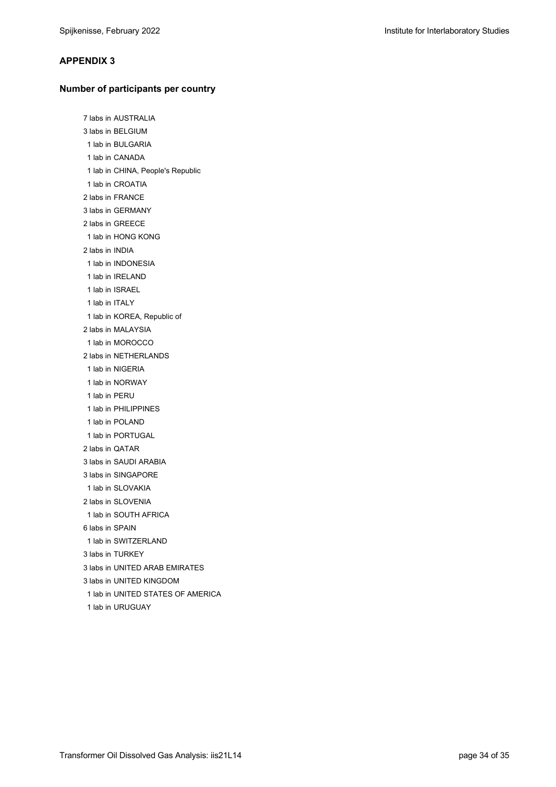#### **APPENDIX 3**

#### **Number of participants per country**

7 labs in AUSTRALIA 3 labs in BELGIUM 1 lab in BULGARIA 1 lab in CANADA 1 lab in CHINA, People's Republic 1 lab in CROATIA 2 labs in FRANCE 3 labs in GERMANY 2 labs in GREECE 1 lab in HONG KONG 2 labs in INDIA 1 lab in INDONESIA 1 lab in IRELAND 1 lab in ISRAEL 1 lab in ITALY 1 lab in KOREA, Republic of 2 labs in MALAYSIA 1 lab in MOROCCO 2 labs in NETHERLANDS 1 lab in NIGERIA 1 lab in NORWAY 1 lab in PERU 1 lab in PHILIPPINES 1 lab in POLAND 1 lab in PORTUGAL 2 labs in QATAR 3 labs in SAUDI ARABIA 3 labs in SINGAPORE 1 lab in SLOVAKIA 2 labs in SLOVENIA 1 lab in SOUTH AFRICA 6 labs in SPAIN 1 lab in SWITZERLAND 3 labs in TURKEY 3 labs in UNITED ARAB EMIRATES 3 labs in UNITED KINGDOM 1 lab in UNITED STATES OF AMERICA 1 lab in URUGUAY